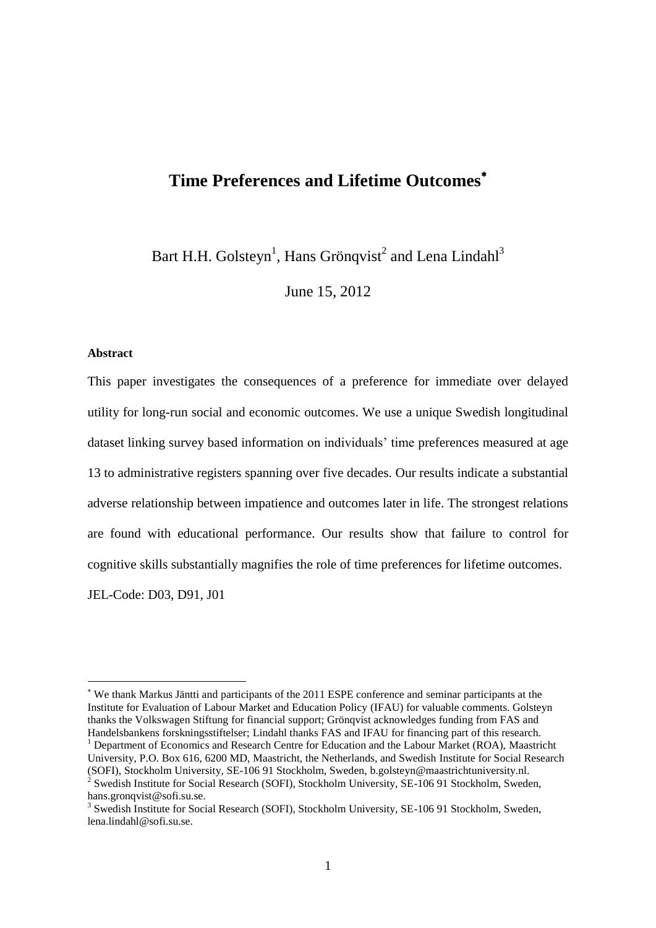# **Time Preferences and Lifetime Outcomes**

Bart H.H. Golsteyn<sup>1</sup>, Hans Grönqvist<sup>2</sup> and Lena Lindahl<sup>3</sup>

June 15, 2012

#### **Abstract**

This paper investigates the consequences of a preference for immediate over delayed utility for long-run social and economic outcomes. We use a unique Swedish longitudinal dataset linking survey based information on individuals" time preferences measured at age 13 to administrative registers spanning over five decades. Our results indicate a substantial adverse relationship between impatience and outcomes later in life. The strongest relations are found with educational performance. Our results show that failure to control for cognitive skills substantially magnifies the role of time preferences for lifetime outcomes.

JEL-Code: D03, D91, J01

We thank Markus Jäntti and participants of the 2011 ESPE conference and seminar participants at the Institute for Evaluation of Labour Market and Education Policy (IFAU) for valuable comments. Golsteyn thanks the Volkswagen Stiftung for financial support; Grönqvist acknowledges funding from FAS and Handelsbankens forskningsstiftelser; Lindahl thanks FAS and IFAU for financing part of this research.

<sup>&</sup>lt;sup>1</sup> Department of Economics and Research Centre for Education and the Labour Market (ROA), Maastricht University, P.O. Box 616, 6200 MD, Maastricht, the Netherlands, and Swedish Institute for Social Research (SOFI), Stockholm University, SE-106 91 Stockholm, Sweden, b.golsteyn@maastrichtuniversity.nl. 2 Swedish Institute for Social Research (SOFI), Stockholm University, SE-106 91 Stockholm, Sweden,

hans.gronqvist@sofi.su.se.

<sup>&</sup>lt;sup>3</sup> Swedish Institute for Social Research (SOFI), Stockholm University, SE-106 91 Stockholm, Sweden, lena.lindahl@sofi.su.se.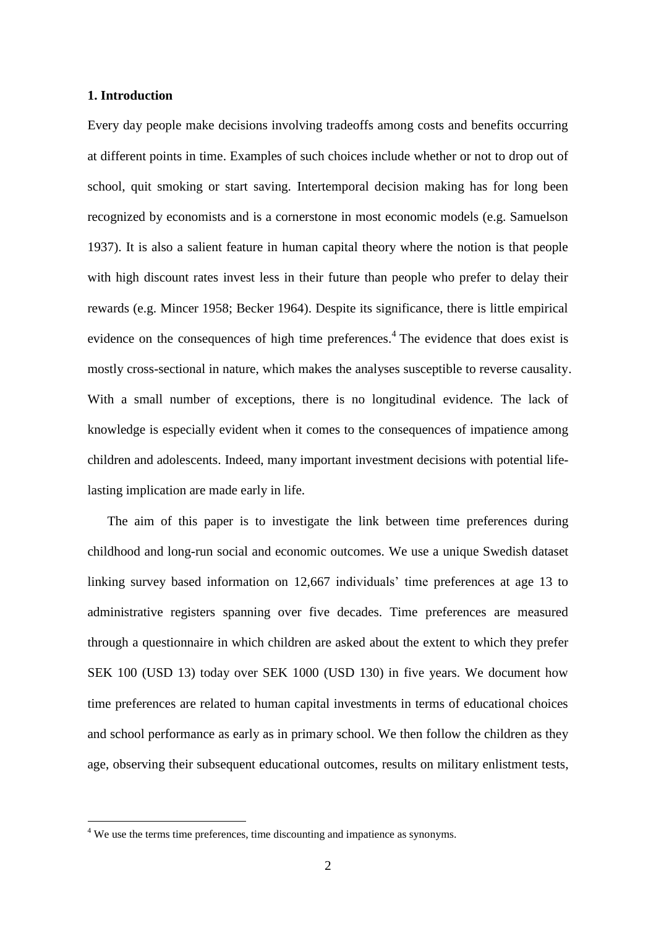#### **1. Introduction**

Every day people make decisions involving tradeoffs among costs and benefits occurring at different points in time. Examples of such choices include whether or not to drop out of school, quit smoking or start saving. Intertemporal decision making has for long been recognized by economists and is a cornerstone in most economic models (e.g. Samuelson 1937). It is also a salient feature in human capital theory where the notion is that people with high discount rates invest less in their future than people who prefer to delay their rewards (e.g. Mincer 1958; Becker 1964). Despite its significance, there is little empirical evidence on the consequences of high time preferences.<sup>4</sup> The evidence that does exist is mostly cross-sectional in nature, which makes the analyses susceptible to reverse causality. With a small number of exceptions, there is no longitudinal evidence. The lack of knowledge is especially evident when it comes to the consequences of impatience among children and adolescents. Indeed, many important investment decisions with potential lifelasting implication are made early in life.

The aim of this paper is to investigate the link between time preferences during childhood and long-run social and economic outcomes. We use a unique Swedish dataset linking survey based information on 12,667 individuals' time preferences at age 13 to administrative registers spanning over five decades. Time preferences are measured through a questionnaire in which children are asked about the extent to which they prefer SEK 100 (USD 13) today over SEK 1000 (USD 130) in five years. We document how time preferences are related to human capital investments in terms of educational choices and school performance as early as in primary school. We then follow the children as they age, observing their subsequent educational outcomes, results on military enlistment tests,

<sup>&</sup>lt;sup>4</sup> We use the terms time preferences, time discounting and impatience as synonyms.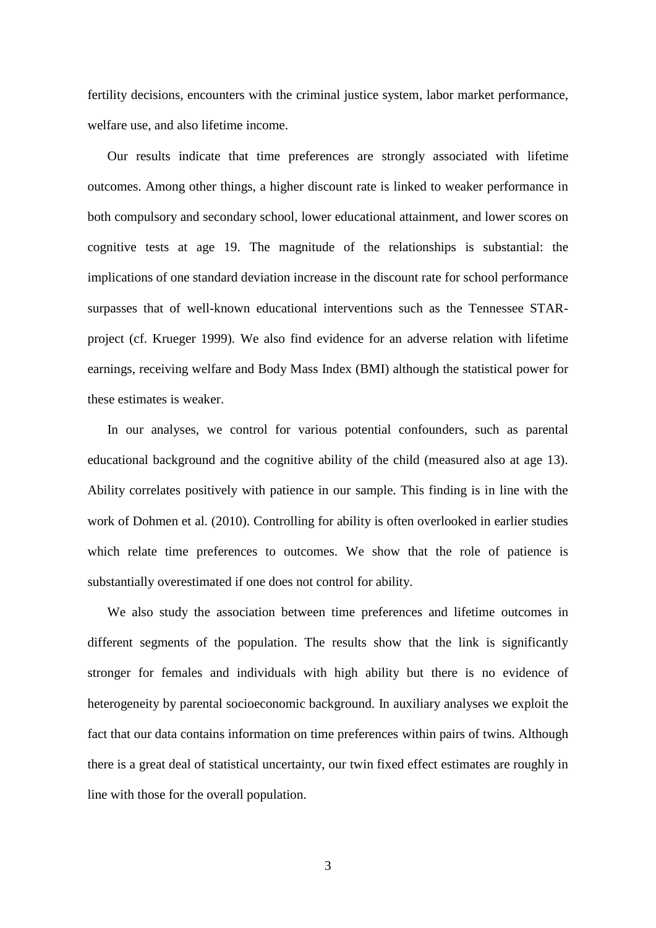fertility decisions, encounters with the criminal justice system, labor market performance, welfare use, and also lifetime income.

Our results indicate that time preferences are strongly associated with lifetime outcomes. Among other things, a higher discount rate is linked to weaker performance in both compulsory and secondary school, lower educational attainment, and lower scores on cognitive tests at age 19. The magnitude of the relationships is substantial: the implications of one standard deviation increase in the discount rate for school performance surpasses that of well-known educational interventions such as the Tennessee STARproject (cf. Krueger 1999). We also find evidence for an adverse relation with lifetime earnings, receiving welfare and Body Mass Index (BMI) although the statistical power for these estimates is weaker.

In our analyses, we control for various potential confounders, such as parental educational background and the cognitive ability of the child (measured also at age 13). Ability correlates positively with patience in our sample. This finding is in line with the work of Dohmen et al. (2010). Controlling for ability is often overlooked in earlier studies which relate time preferences to outcomes. We show that the role of patience is substantially overestimated if one does not control for ability.

We also study the association between time preferences and lifetime outcomes in different segments of the population. The results show that the link is significantly stronger for females and individuals with high ability but there is no evidence of heterogeneity by parental socioeconomic background. In auxiliary analyses we exploit the fact that our data contains information on time preferences within pairs of twins. Although there is a great deal of statistical uncertainty, our twin fixed effect estimates are roughly in line with those for the overall population.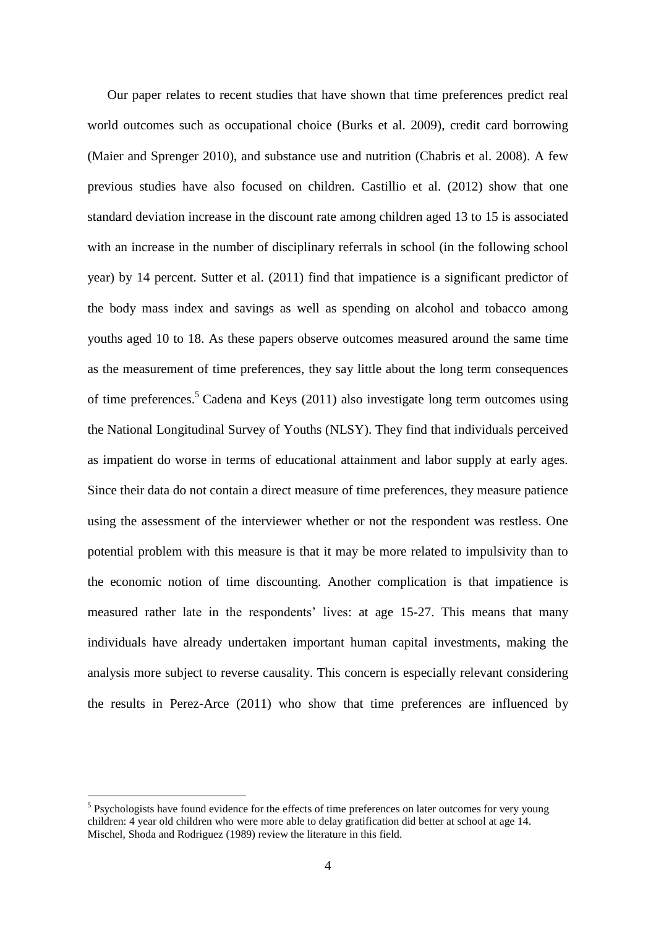Our paper relates to recent studies that have shown that time preferences predict real world outcomes such as occupational choice (Burks et al. 2009), credit card borrowing (Maier and Sprenger 2010), and substance use and nutrition (Chabris et al. 2008). A few previous studies have also focused on children. Castillio et al. (2012) show that one standard deviation increase in the discount rate among children aged 13 to 15 is associated with an increase in the number of disciplinary referrals in school (in the following school year) by 14 percent. Sutter et al. (2011) find that impatience is a significant predictor of the body mass index and savings as well as spending on alcohol and tobacco among youths aged 10 to 18. As these papers observe outcomes measured around the same time as the measurement of time preferences, they say little about the long term consequences of time preferences. <sup>5</sup> Cadena and Keys (2011) also investigate long term outcomes using the National Longitudinal Survey of Youths (NLSY). They find that individuals perceived as impatient do worse in terms of educational attainment and labor supply at early ages. Since their data do not contain a direct measure of time preferences, they measure patience using the assessment of the interviewer whether or not the respondent was restless. One potential problem with this measure is that it may be more related to impulsivity than to the economic notion of time discounting. Another complication is that impatience is measured rather late in the respondents' lives: at age 15-27. This means that many individuals have already undertaken important human capital investments, making the analysis more subject to reverse causality. This concern is especially relevant considering the results in Perez-Arce (2011) who show that time preferences are influenced by

<sup>&</sup>lt;sup>5</sup> Psychologists have found evidence for the effects of time preferences on later outcomes for very young children: 4 year old children who were more able to delay gratification did better at school at age 14. Mischel, Shoda and Rodriguez (1989) review the literature in this field.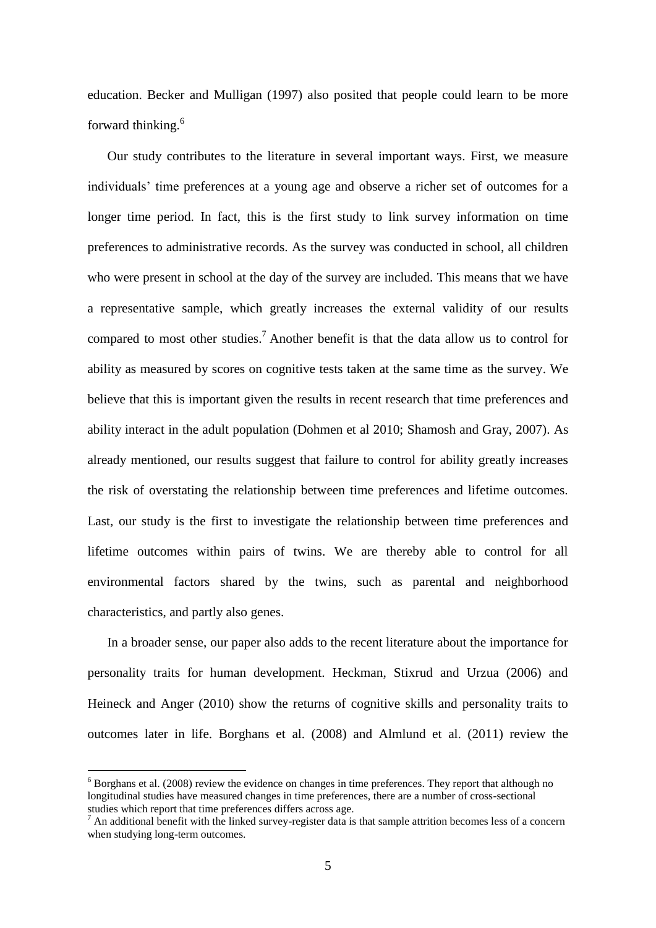education. Becker and Mulligan (1997) also posited that people could learn to be more forward thinking.<sup>6</sup>

Our study contributes to the literature in several important ways. First, we measure individuals" time preferences at a young age and observe a richer set of outcomes for a longer time period. In fact, this is the first study to link survey information on time preferences to administrative records. As the survey was conducted in school, all children who were present in school at the day of the survey are included. This means that we have a representative sample, which greatly increases the external validity of our results compared to most other studies.<sup>7</sup> Another benefit is that the data allow us to control for ability as measured by scores on cognitive tests taken at the same time as the survey. We believe that this is important given the results in recent research that time preferences and ability interact in the adult population (Dohmen et al 2010; Shamosh and Gray, 2007). As already mentioned, our results suggest that failure to control for ability greatly increases the risk of overstating the relationship between time preferences and lifetime outcomes. Last, our study is the first to investigate the relationship between time preferences and lifetime outcomes within pairs of twins. We are thereby able to control for all environmental factors shared by the twins, such as parental and neighborhood characteristics, and partly also genes.

In a broader sense, our paper also adds to the recent literature about the importance for personality traits for human development. Heckman, Stixrud and Urzua (2006) and Heineck and Anger (2010) show the returns of cognitive skills and personality traits to outcomes later in life. Borghans et al. (2008) and Almlund et al. (2011) review the

<u>.</u>

 $6$  Borghans et al. (2008) review the evidence on changes in time preferences. They report that although no longitudinal studies have measured changes in time preferences, there are a number of cross-sectional studies which report that time preferences differs across age.

<sup>&</sup>lt;sup>7</sup> An additional benefit with the linked survey-register data is that sample attrition becomes less of a concern when studying long-term outcomes.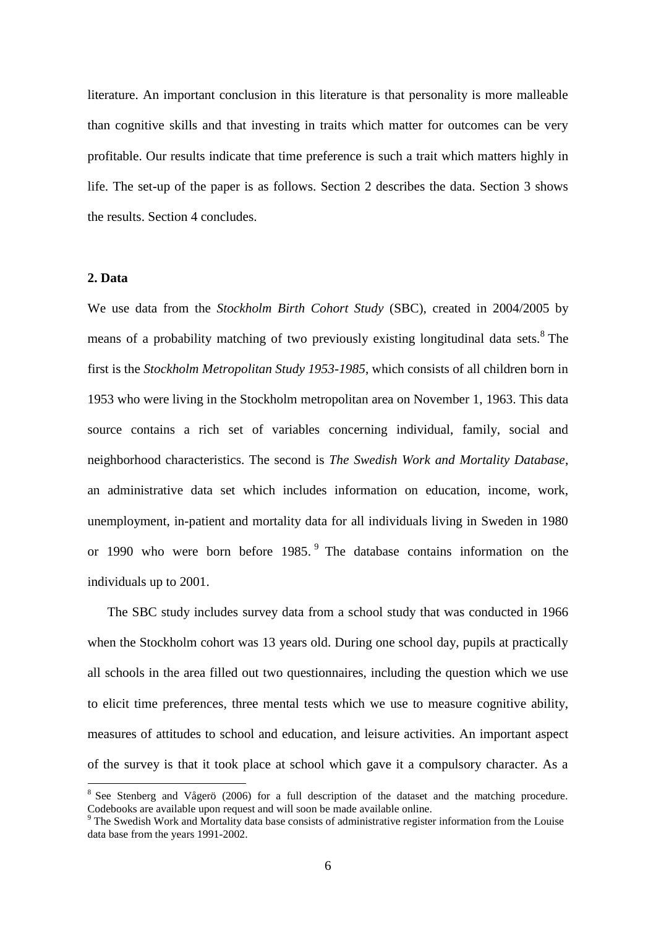literature. An important conclusion in this literature is that personality is more malleable than cognitive skills and that investing in traits which matter for outcomes can be very profitable. Our results indicate that time preference is such a trait which matters highly in life. The set-up of the paper is as follows. Section 2 describes the data. Section 3 shows the results. Section 4 concludes.

#### **2. Data**

<u>.</u>

We use data from the *Stockholm Birth Cohort Study* (SBC), created in 2004/2005 by means of a probability matching of two previously existing longitudinal data sets.<sup>8</sup> The first is the *Stockholm Metropolitan Study 1953-1985*, which consists of all children born in 1953 who were living in the Stockholm metropolitan area on November 1, 1963. This data source contains a rich set of variables concerning individual, family, social and neighborhood characteristics. The second is *The Swedish Work and Mortality Database*, an administrative data set which includes information on education, income, work, unemployment, in-patient and mortality data for all individuals living in Sweden in 1980 or 1990 who were born before 1985. 9 The database contains information on the individuals up to 2001.

The SBC study includes survey data from a school study that was conducted in 1966 when the Stockholm cohort was 13 years old. During one school day, pupils at practically all schools in the area filled out two questionnaires, including the question which we use to elicit time preferences, three mental tests which we use to measure cognitive ability, measures of attitudes to school and education, and leisure activities. An important aspect of the survey is that it took place at school which gave it a compulsory character. As a

<sup>&</sup>lt;sup>8</sup> See Stenberg and Vågerö (2006) for a full description of the dataset and the matching procedure. Codebooks are available upon request and will soon be made available online.

<sup>&</sup>lt;sup>9</sup> The Swedish Work and Mortality data base consists of administrative register information from the Louise data base from the years 1991-2002.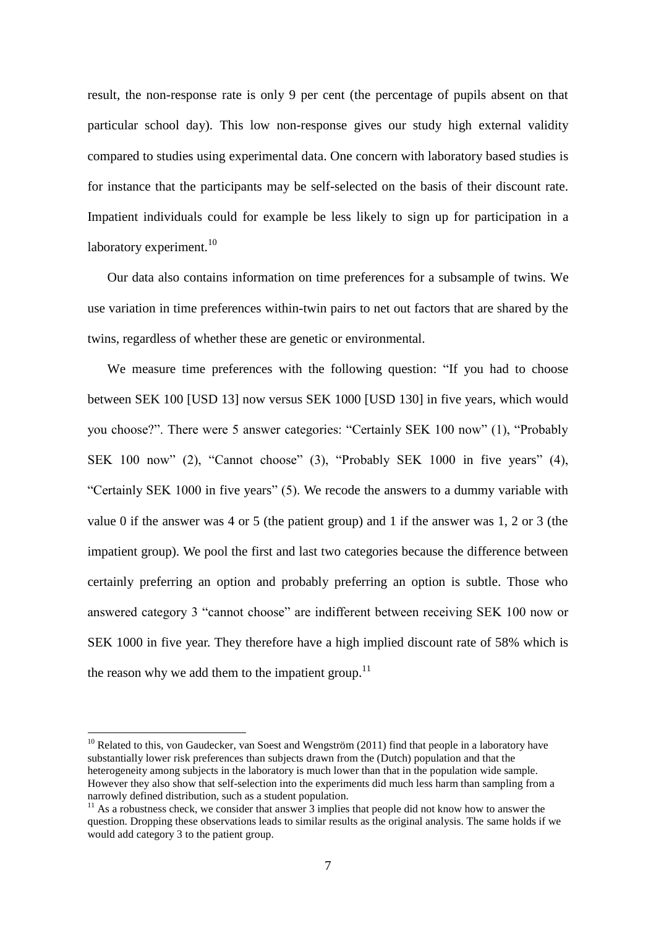result, the non-response rate is only 9 per cent (the percentage of pupils absent on that particular school day). This low non-response gives our study high external validity compared to studies using experimental data. One concern with laboratory based studies is for instance that the participants may be self-selected on the basis of their discount rate. Impatient individuals could for example be less likely to sign up for participation in a laboratory experiment. $10<sup>10</sup>$ 

Our data also contains information on time preferences for a subsample of twins. We use variation in time preferences within-twin pairs to net out factors that are shared by the twins, regardless of whether these are genetic or environmental.

We measure time preferences with the following question: "If you had to choose between SEK 100 [USD 13] now versus SEK 1000 [USD 130] in five years, which would you choose?". There were 5 answer categories: "Certainly SEK 100 now" (1), "Probably SEK 100 now" (2), "Cannot choose" (3), "Probably SEK 1000 in five years" (4), "Certainly SEK 1000 in five years" (5). We recode the answers to a dummy variable with value 0 if the answer was 4 or 5 (the patient group) and 1 if the answer was 1, 2 or 3 (the impatient group). We pool the first and last two categories because the difference between certainly preferring an option and probably preferring an option is subtle. Those who answered category 3 "cannot choose" are indifferent between receiving SEK 100 now or SEK 1000 in five year. They therefore have a high implied discount rate of 58% which is the reason why we add them to the impatient group.<sup>11</sup>

 $10$  Related to this, von Gaudecker, van Soest and Wengström (2011) find that people in a laboratory have substantially lower risk preferences than subjects drawn from the (Dutch) population and that the heterogeneity among subjects in the laboratory is much lower than that in the population wide sample. However they also show that self-selection into the experiments did much less harm than sampling from a narrowly defined distribution, such as a student population.

<sup>&</sup>lt;sup>11</sup> As a robustness check, we consider that answer  $\hat{3}$  implies that people did not know how to answer the question. Dropping these observations leads to similar results as the original analysis. The same holds if we would add category 3 to the patient group.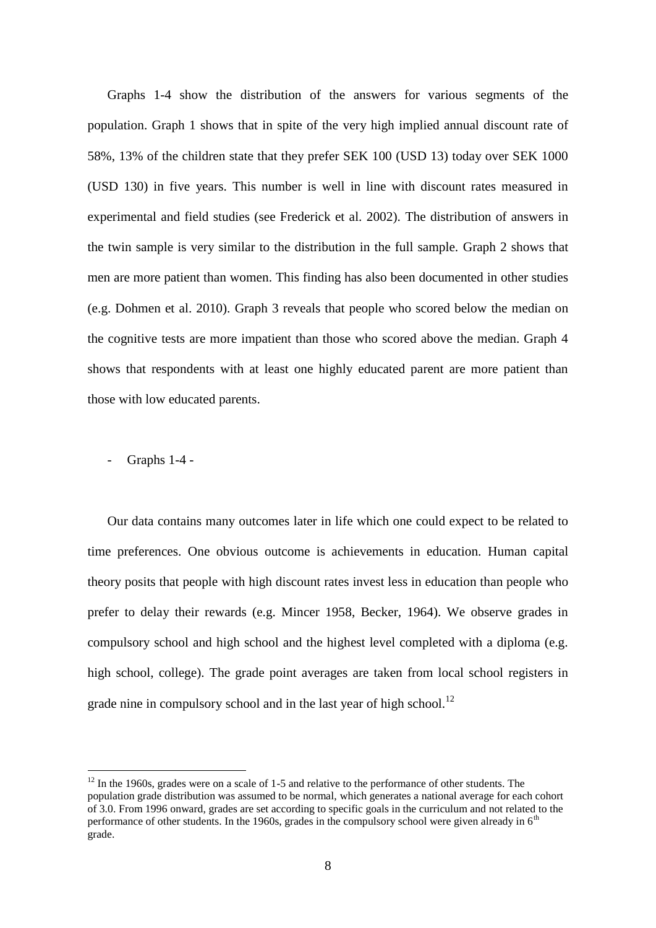Graphs 1-4 show the distribution of the answers for various segments of the population. Graph 1 shows that in spite of the very high implied annual discount rate of 58%, 13% of the children state that they prefer SEK 100 (USD 13) today over SEK 1000 (USD 130) in five years. This number is well in line with discount rates measured in experimental and field studies (see Frederick et al. 2002). The distribution of answers in the twin sample is very similar to the distribution in the full sample. Graph 2 shows that men are more patient than women. This finding has also been documented in other studies (e.g. Dohmen et al. 2010). Graph 3 reveals that people who scored below the median on the cognitive tests are more impatient than those who scored above the median. Graph 4 shows that respondents with at least one highly educated parent are more patient than those with low educated parents.

- Graphs 1-4 -

<u>.</u>

Our data contains many outcomes later in life which one could expect to be related to time preferences. One obvious outcome is achievements in education. Human capital theory posits that people with high discount rates invest less in education than people who prefer to delay their rewards (e.g. Mincer 1958, Becker, 1964). We observe grades in compulsory school and high school and the highest level completed with a diploma (e.g. high school, college). The grade point averages are taken from local school registers in grade nine in compulsory school and in the last year of high school. $^{12}$ 

 $12$  In the 1960s, grades were on a scale of 1-5 and relative to the performance of other students. The population grade distribution was assumed to be normal, which generates a national average for each cohort of 3.0. From 1996 onward, grades are set according to specific goals in the curriculum and not related to the performance of other students. In the 1960s, grades in the compulsory school were given already in  $6<sup>th</sup>$ grade.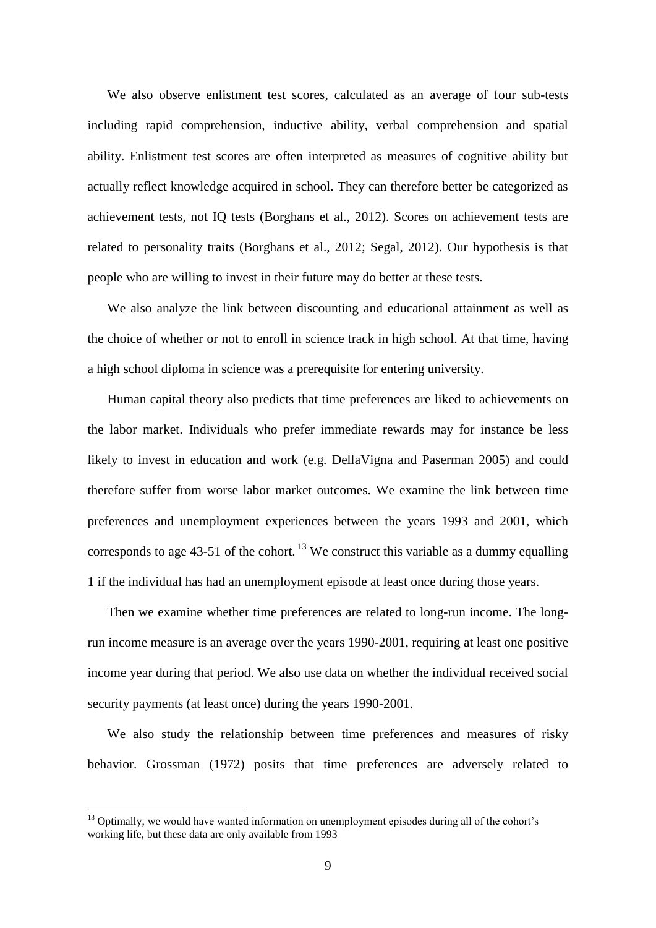We also observe enlistment test scores, calculated as an average of four sub-tests including rapid comprehension, inductive ability, verbal comprehension and spatial ability. Enlistment test scores are often interpreted as measures of cognitive ability but actually reflect knowledge acquired in school. They can therefore better be categorized as achievement tests, not IQ tests (Borghans et al., 2012). Scores on achievement tests are related to personality traits (Borghans et al., 2012; Segal, 2012). Our hypothesis is that people who are willing to invest in their future may do better at these tests.

We also analyze the link between discounting and educational attainment as well as the choice of whether or not to enroll in science track in high school. At that time, having a high school diploma in science was a prerequisite for entering university.

Human capital theory also predicts that time preferences are liked to achievements on the labor market. Individuals who prefer immediate rewards may for instance be less likely to invest in education and work (e.g. DellaVigna and Paserman 2005) and could therefore suffer from worse labor market outcomes. We examine the link between time preferences and unemployment experiences between the years 1993 and 2001, which corresponds to age  $43-51$  of the cohort. <sup>13</sup> We construct this variable as a dummy equalling 1 if the individual has had an unemployment episode at least once during those years.

Then we examine whether time preferences are related to long-run income. The longrun income measure is an average over the years 1990-2001, requiring at least one positive income year during that period. We also use data on whether the individual received social security payments (at least once) during the years 1990-2001.

We also study the relationship between time preferences and measures of risky behavior. Grossman (1972) posits that time preferences are adversely related to

<sup>&</sup>lt;sup>13</sup> Optimally, we would have wanted information on unemployment episodes during all of the cohort's working life, but these data are only available from 1993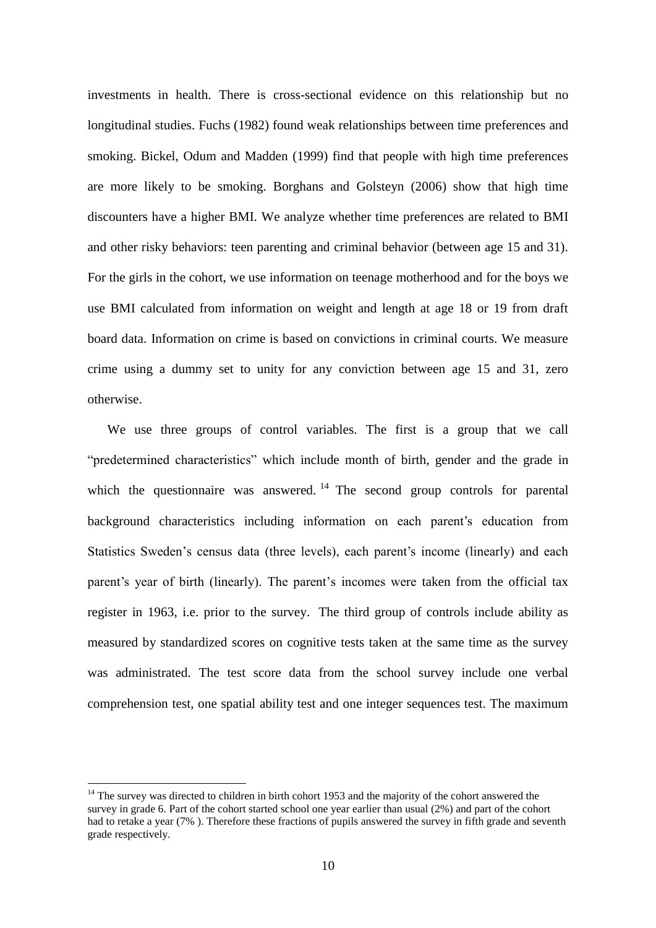investments in health. There is cross-sectional evidence on this relationship but no longitudinal studies. Fuchs (1982) found weak relationships between time preferences and smoking. Bickel, Odum and Madden (1999) find that people with high time preferences are more likely to be smoking. Borghans and Golsteyn (2006) show that high time discounters have a higher BMI. We analyze whether time preferences are related to BMI and other risky behaviors: teen parenting and criminal behavior (between age 15 and 31). For the girls in the cohort, we use information on teenage motherhood and for the boys we use BMI calculated from information on weight and length at age 18 or 19 from draft board data. Information on crime is based on convictions in criminal courts. We measure crime using a dummy set to unity for any conviction between age 15 and 31, zero otherwise.

We use three groups of control variables. The first is a group that we call "predetermined characteristics" which include month of birth, gender and the grade in which the questionnaire was answered.  $14$  The second group controls for parental background characteristics including information on each parent's education from Statistics Sweden's census data (three levels), each parent's income (linearly) and each parent's year of birth (linearly). The parent's incomes were taken from the official tax register in 1963, i.e. prior to the survey. The third group of controls include ability as measured by standardized scores on cognitive tests taken at the same time as the survey was administrated. The test score data from the school survey include one verbal comprehension test, one spatial ability test and one integer sequences test. The maximum

<u>.</u>

 $14$  The survey was directed to children in birth cohort 1953 and the majority of the cohort answered the survey in grade 6. Part of the cohort started school one year earlier than usual (2%) and part of the cohort had to retake a year (7% ). Therefore these fractions of pupils answered the survey in fifth grade and seventh grade respectively.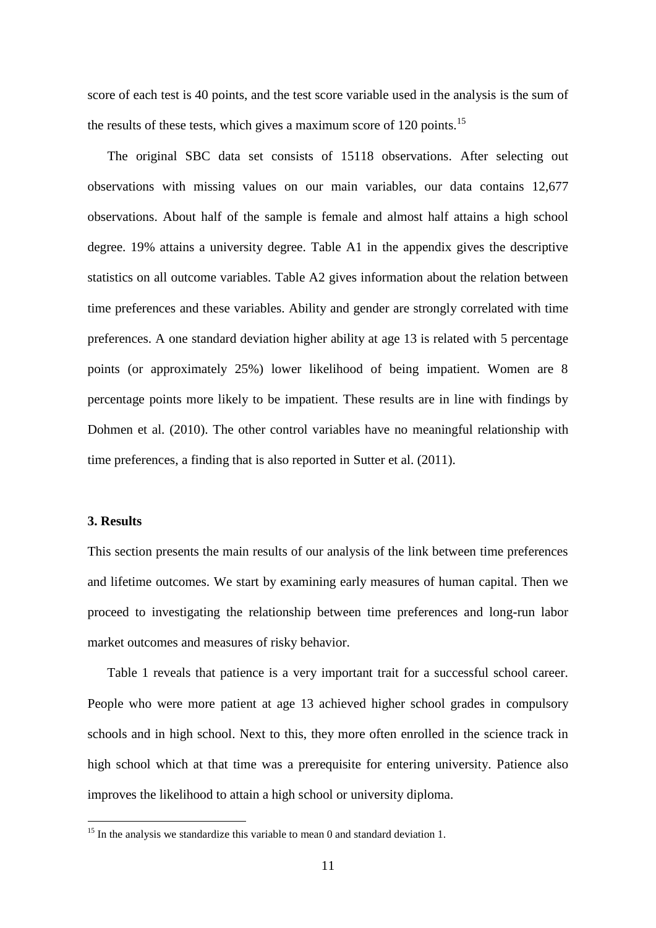score of each test is 40 points, and the test score variable used in the analysis is the sum of the results of these tests, which gives a maximum score of  $120$  points.<sup>15</sup>

The original SBC data set consists of 15118 observations. After selecting out observations with missing values on our main variables, our data contains 12,677 observations. About half of the sample is female and almost half attains a high school degree. 19% attains a university degree. Table A1 in the appendix gives the descriptive statistics on all outcome variables. Table A2 gives information about the relation between time preferences and these variables. Ability and gender are strongly correlated with time preferences. A one standard deviation higher ability at age 13 is related with 5 percentage points (or approximately 25%) lower likelihood of being impatient. Women are 8 percentage points more likely to be impatient. These results are in line with findings by Dohmen et al. (2010). The other control variables have no meaningful relationship with time preferences, a finding that is also reported in Sutter et al. (2011).

#### **3. Results**

1

This section presents the main results of our analysis of the link between time preferences and lifetime outcomes. We start by examining early measures of human capital. Then we proceed to investigating the relationship between time preferences and long-run labor market outcomes and measures of risky behavior.

Table 1 reveals that patience is a very important trait for a successful school career. People who were more patient at age 13 achieved higher school grades in compulsory schools and in high school. Next to this, they more often enrolled in the science track in high school which at that time was a prerequisite for entering university. Patience also improves the likelihood to attain a high school or university diploma.

 $15$  In the analysis we standardize this variable to mean 0 and standard deviation 1.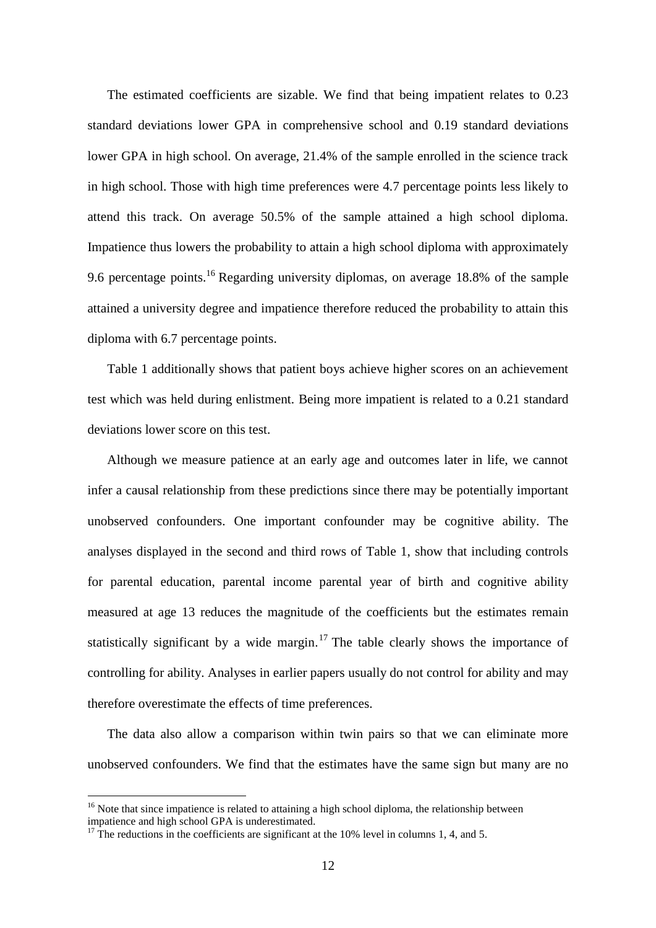The estimated coefficients are sizable. We find that being impatient relates to 0.23 standard deviations lower GPA in comprehensive school and 0.19 standard deviations lower GPA in high school. On average, 21.4% of the sample enrolled in the science track in high school. Those with high time preferences were 4.7 percentage points less likely to attend this track. On average 50.5% of the sample attained a high school diploma. Impatience thus lowers the probability to attain a high school diploma with approximately 9.6 percentage points.<sup>16</sup> Regarding university diplomas, on average 18.8% of the sample attained a university degree and impatience therefore reduced the probability to attain this diploma with 6.7 percentage points.

Table 1 additionally shows that patient boys achieve higher scores on an achievement test which was held during enlistment. Being more impatient is related to a 0.21 standard deviations lower score on this test.

Although we measure patience at an early age and outcomes later in life, we cannot infer a causal relationship from these predictions since there may be potentially important unobserved confounders. One important confounder may be cognitive ability. The analyses displayed in the second and third rows of Table 1, show that including controls for parental education, parental income parental year of birth and cognitive ability measured at age 13 reduces the magnitude of the coefficients but the estimates remain statistically significant by a wide margin.<sup>17</sup> The table clearly shows the importance of controlling for ability. Analyses in earlier papers usually do not control for ability and may therefore overestimate the effects of time preferences.

The data also allow a comparison within twin pairs so that we can eliminate more unobserved confounders. We find that the estimates have the same sign but many are no

 $16$  Note that since impatience is related to attaining a high school diploma, the relationship between impatience and high school GPA is underestimated.

 $17$ <sup>17</sup> The reductions in the coefficients are significant at the 10% level in columns 1, 4, and 5.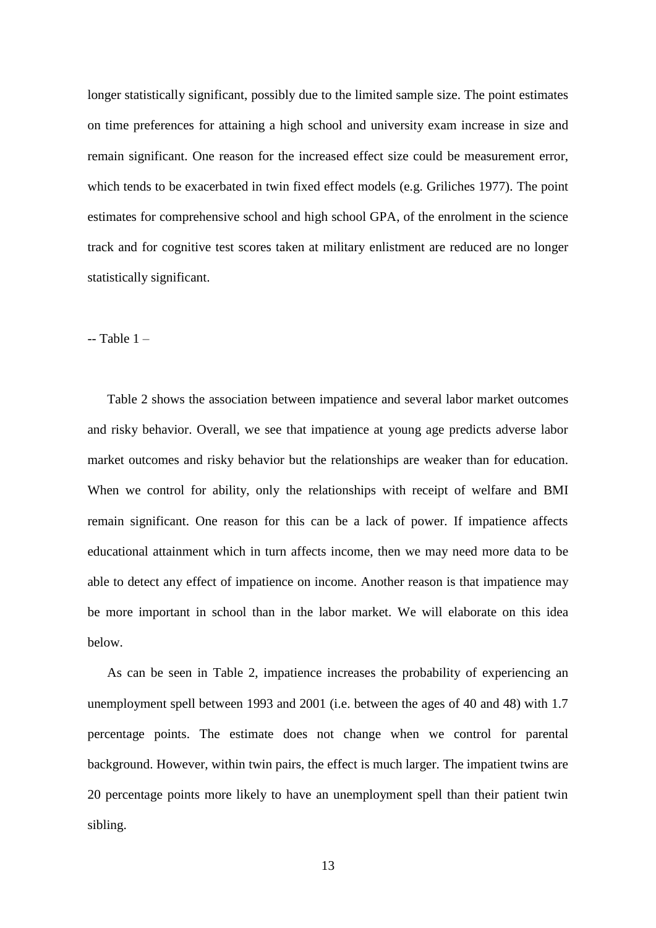longer statistically significant, possibly due to the limited sample size. The point estimates on time preferences for attaining a high school and university exam increase in size and remain significant. One reason for the increased effect size could be measurement error, which tends to be exacerbated in twin fixed effect models (e.g. Griliches 1977). The point estimates for comprehensive school and high school GPA, of the enrolment in the science track and for cognitive test scores taken at military enlistment are reduced are no longer statistically significant.

 $-$  Table  $1-$ 

Table 2 shows the association between impatience and several labor market outcomes and risky behavior. Overall, we see that impatience at young age predicts adverse labor market outcomes and risky behavior but the relationships are weaker than for education. When we control for ability, only the relationships with receipt of welfare and BMI remain significant. One reason for this can be a lack of power. If impatience affects educational attainment which in turn affects income, then we may need more data to be able to detect any effect of impatience on income. Another reason is that impatience may be more important in school than in the labor market. We will elaborate on this idea below.

As can be seen in Table 2, impatience increases the probability of experiencing an unemployment spell between 1993 and 2001 (i.e. between the ages of 40 and 48) with 1.7 percentage points. The estimate does not change when we control for parental background. However, within twin pairs, the effect is much larger. The impatient twins are 20 percentage points more likely to have an unemployment spell than their patient twin sibling.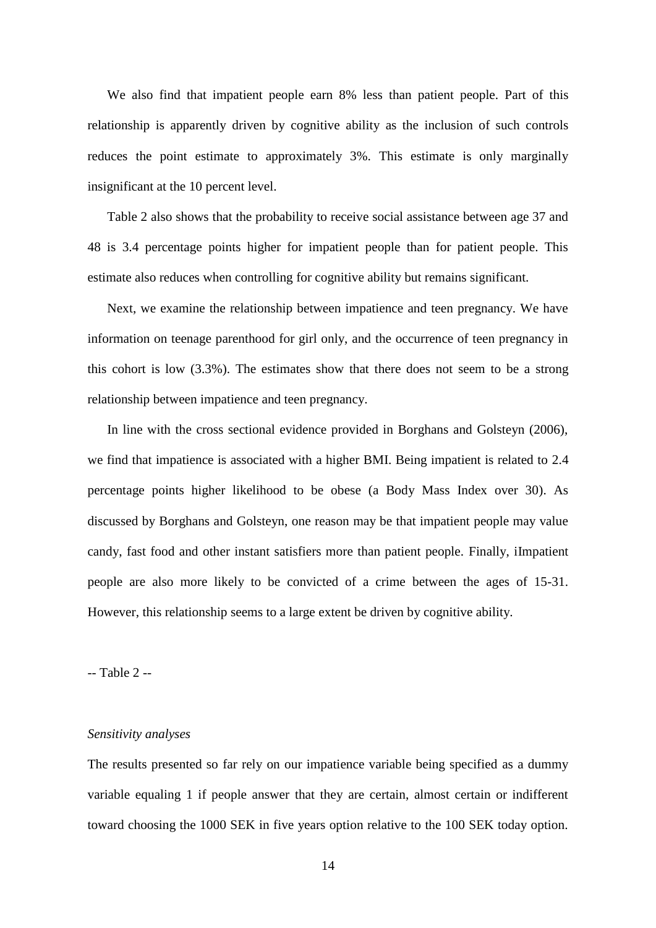We also find that impatient people earn 8% less than patient people. Part of this relationship is apparently driven by cognitive ability as the inclusion of such controls reduces the point estimate to approximately 3%. This estimate is only marginally insignificant at the 10 percent level.

Table 2 also shows that the probability to receive social assistance between age 37 and 48 is 3.4 percentage points higher for impatient people than for patient people. This estimate also reduces when controlling for cognitive ability but remains significant.

Next, we examine the relationship between impatience and teen pregnancy. We have information on teenage parenthood for girl only, and the occurrence of teen pregnancy in this cohort is low (3.3%). The estimates show that there does not seem to be a strong relationship between impatience and teen pregnancy.

In line with the cross sectional evidence provided in Borghans and Golsteyn (2006), we find that impatience is associated with a higher BMI. Being impatient is related to 2.4 percentage points higher likelihood to be obese (a Body Mass Index over 30). As discussed by Borghans and Golsteyn, one reason may be that impatient people may value candy, fast food and other instant satisfiers more than patient people. Finally, iImpatient people are also more likely to be convicted of a crime between the ages of 15-31. However, this relationship seems to a large extent be driven by cognitive ability.

-- Table 2 --

#### *Sensitivity analyses*

The results presented so far rely on our impatience variable being specified as a dummy variable equaling 1 if people answer that they are certain, almost certain or indifferent toward choosing the 1000 SEK in five years option relative to the 100 SEK today option.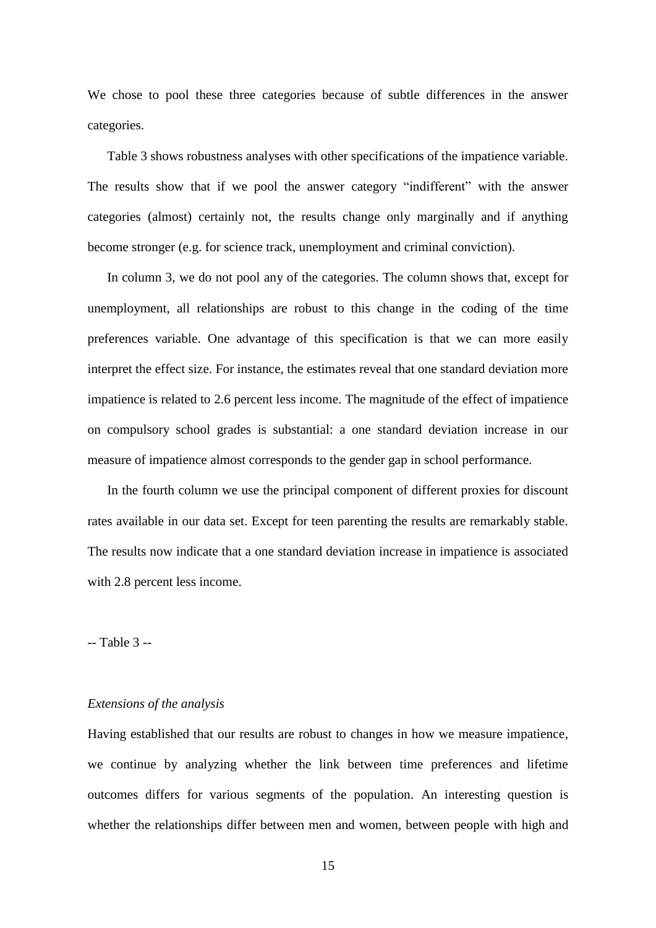We chose to pool these three categories because of subtle differences in the answer categories.

Table 3 shows robustness analyses with other specifications of the impatience variable. The results show that if we pool the answer category "indifferent" with the answer categories (almost) certainly not, the results change only marginally and if anything become stronger (e.g. for science track, unemployment and criminal conviction).

In column 3, we do not pool any of the categories. The column shows that, except for unemployment, all relationships are robust to this change in the coding of the time preferences variable. One advantage of this specification is that we can more easily interpret the effect size. For instance, the estimates reveal that one standard deviation more impatience is related to 2.6 percent less income. The magnitude of the effect of impatience on compulsory school grades is substantial: a one standard deviation increase in our measure of impatience almost corresponds to the gender gap in school performance.

In the fourth column we use the principal component of different proxies for discount rates available in our data set. Except for teen parenting the results are remarkably stable. The results now indicate that a one standard deviation increase in impatience is associated with 2.8 percent less income.

#### -- Table 3 --

#### *Extensions of the analysis*

Having established that our results are robust to changes in how we measure impatience, we continue by analyzing whether the link between time preferences and lifetime outcomes differs for various segments of the population. An interesting question is whether the relationships differ between men and women, between people with high and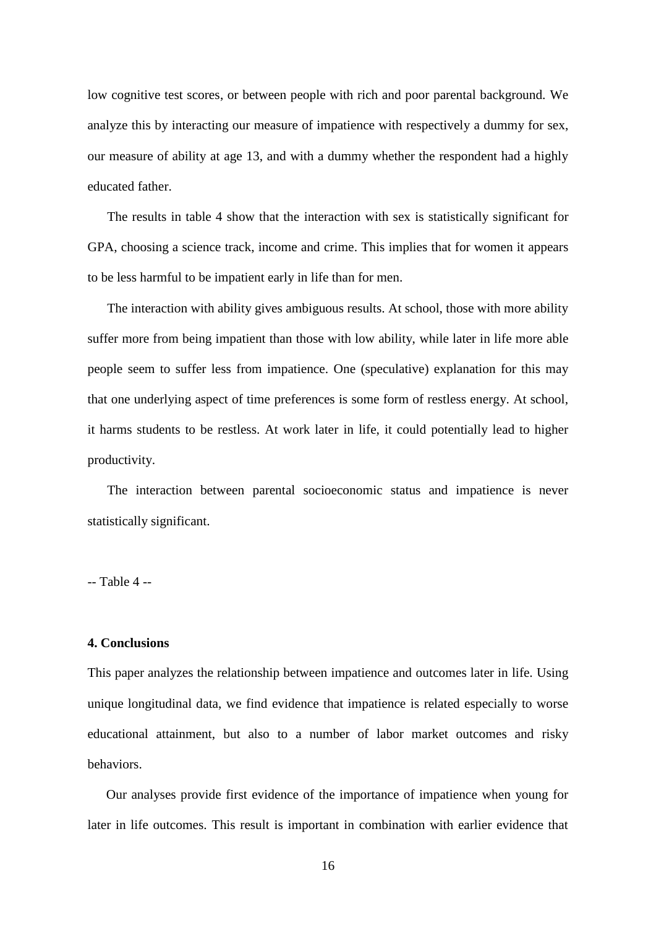low cognitive test scores, or between people with rich and poor parental background. We analyze this by interacting our measure of impatience with respectively a dummy for sex, our measure of ability at age 13, and with a dummy whether the respondent had a highly educated father.

The results in table 4 show that the interaction with sex is statistically significant for GPA, choosing a science track, income and crime. This implies that for women it appears to be less harmful to be impatient early in life than for men.

The interaction with ability gives ambiguous results. At school, those with more ability suffer more from being impatient than those with low ability, while later in life more able people seem to suffer less from impatience. One (speculative) explanation for this may that one underlying aspect of time preferences is some form of restless energy. At school, it harms students to be restless. At work later in life, it could potentially lead to higher productivity.

The interaction between parental socioeconomic status and impatience is never statistically significant.

-- Table 4 --

#### **4. Conclusions**

This paper analyzes the relationship between impatience and outcomes later in life. Using unique longitudinal data, we find evidence that impatience is related especially to worse educational attainment, but also to a number of labor market outcomes and risky behaviors.

Our analyses provide first evidence of the importance of impatience when young for later in life outcomes. This result is important in combination with earlier evidence that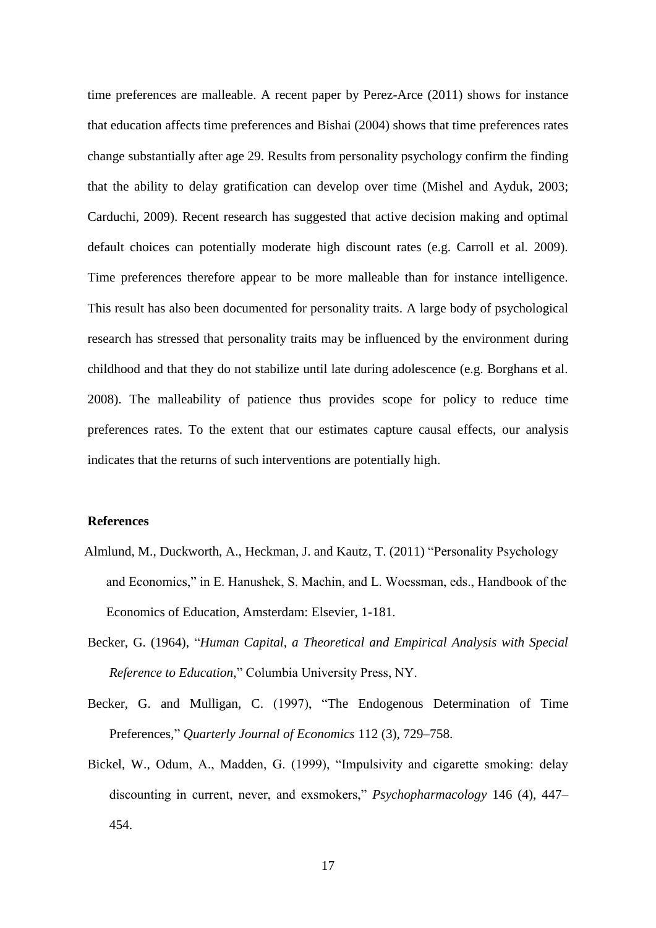time preferences are malleable. A recent paper by Perez-Arce (2011) shows for instance that education affects time preferences and Bishai (2004) shows that time preferences rates change substantially after age 29. Results from personality psychology confirm the finding that the ability to delay gratification can develop over time (Mishel and Ayduk, 2003; Carduchi, 2009). Recent research has suggested that active decision making and optimal default choices can potentially moderate high discount rates (e.g. Carroll et al. 2009). Time preferences therefore appear to be more malleable than for instance intelligence. This result has also been documented for personality traits. A large body of psychological research has stressed that personality traits may be influenced by the environment during childhood and that they do not stabilize until late during adolescence (e.g. Borghans et al. 2008). The malleability of patience thus provides scope for policy to reduce time preferences rates. To the extent that our estimates capture causal effects, our analysis indicates that the returns of such interventions are potentially high.

#### **References**

- Almlund, M., Duckworth, A., Heckman, J. and Kautz, T. (2011) "Personality Psychology and Economics," in E. Hanushek, S. Machin, and L. Woessman, eds., Handbook of the Economics of Education, Amsterdam: Elsevier, 1-181.
- Becker, G. (1964), "*Human Capital, a Theoretical and Empirical Analysis with Special Reference to Education*," Columbia University Press, NY.
- Becker, G. and Mulligan, C. (1997), "The Endogenous Determination of Time Preferences," *Quarterly Journal of Economics* 112 (3), 729–758.
- Bickel, W., Odum, A., Madden, G. (1999), "Impulsivity and cigarette smoking: delay discounting in current, never, and exsmokers," *Psychopharmacology* 146 (4), 447– 454.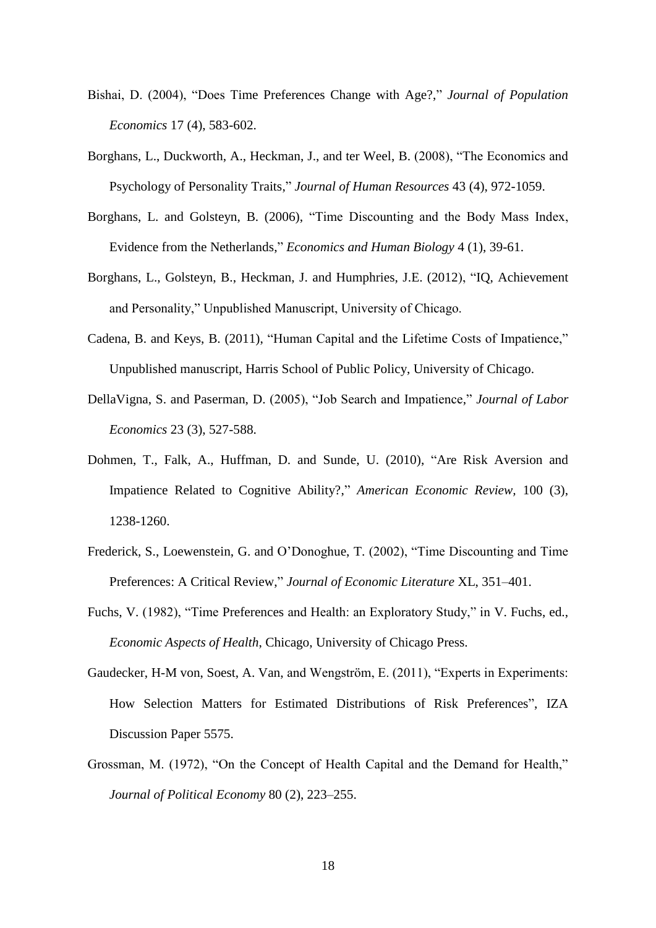- Bishai, D. (2004), "Does Time Preferences Change with Age?," *Journal of Population Economics* 17 (4), 583-602.
- Borghans, L., Duckworth, A., Heckman, J., and ter Weel, B. (2008), "The Economics and Psychology of Personality Traits," *Journal of Human Resources* 43 (4), 972-1059.
- Borghans, L. and Golsteyn, B. (2006), "Time Discounting and the Body Mass Index, Evidence from the Netherlands," *Economics and Human Biology* 4 (1), 39-61.
- Borghans, L., Golsteyn, B., Heckman, J. and Humphries, J.E. (2012), "IQ, Achievement and Personality," Unpublished Manuscript, University of Chicago.
- Cadena, B. and Keys, B. (2011), "Human Capital and the Lifetime Costs of Impatience," Unpublished manuscript, Harris School of Public Policy, University of Chicago.
- DellaVigna, S. and Paserman, D. (2005), "Job Search and Impatience," *Journal of Labor Economics* 23 (3), 527-588.
- Dohmen, T., Falk, A., Huffman, D. and Sunde, U. (2010), "Are Risk Aversion and Impatience Related to Cognitive Ability?," *American Economic Review,* 100 (3), 1238-1260.
- Frederick, S., Loewenstein, G. and O"Donoghue, T. (2002), "Time Discounting and Time Preferences: A Critical Review," *Journal of Economic Literature* XL, 351–401.
- Fuchs, V. (1982), "Time Preferences and Health: an Exploratory Study," in V. Fuchs, ed., *Economic Aspects of Health*, Chicago, University of Chicago Press.
- Gaudecker, H-M von, Soest, A. Van, and Wengström, E. (2011), "Experts in Experiments: How Selection Matters for Estimated Distributions of Risk Preferences", IZA Discussion Paper 5575.
- Grossman, M. (1972), "On the Concept of Health Capital and the Demand for Health," *Journal of Political Economy* 80 (2), 223–255.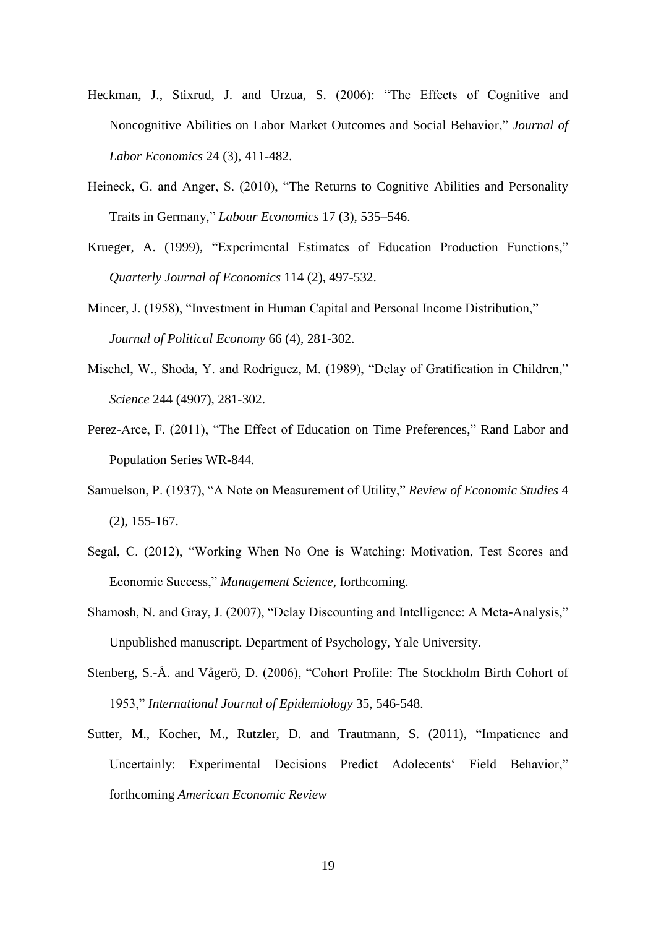- Heckman, J., Stixrud, J. and Urzua, S. (2006): "The Effects of Cognitive and Noncognitive Abilities on Labor Market Outcomes and Social Behavior," *Journal of Labor Economics* 24 (3), 411-482.
- Heineck, G. and Anger, S. (2010), "The Returns to Cognitive Abilities and Personality Traits in Germany," *Labour Economics* 17 (3), 535–546.
- Krueger, A. (1999), "Experimental Estimates of Education Production Functions," *Quarterly Journal of Economics* 114 (2), 497-532.
- Mincer, J. (1958), "Investment in Human Capital and Personal Income Distribution," *Journal of Political Economy* 66 (4), 281-302.
- Mischel, W., Shoda, Y. and Rodriguez, M. (1989), "Delay of Gratification in Children," *Science* 244 (4907), 281-302.
- Perez-Arce, F. (2011), "The Effect of Education on Time Preferences," Rand Labor and Population Series WR-844.
- Samuelson, P. (1937), "A Note on Measurement of Utility," *Review of Economic Studies* 4 (2), 155-167.
- Segal, C. (2012), "Working When No One is Watching: Motivation, Test Scores and Economic Success," *Management Science*, forthcoming.
- Shamosh, N. and Gray, J. (2007), "Delay Discounting and Intelligence: A Meta-Analysis," Unpublished manuscript. Department of Psychology, Yale University.
- Stenberg, S.-Å. and Vågerö, D. (2006), "Cohort Profile: The Stockholm Birth Cohort of 1953," *International Journal of Epidemiology* 35, 546-548.
- Sutter, M., Kocher, M., Rutzler, D. and Trautmann, S. (2011), "Impatience and Uncertainly: Experimental Decisions Predict Adolecents' Field Behavior," forthcoming *American Economic Review*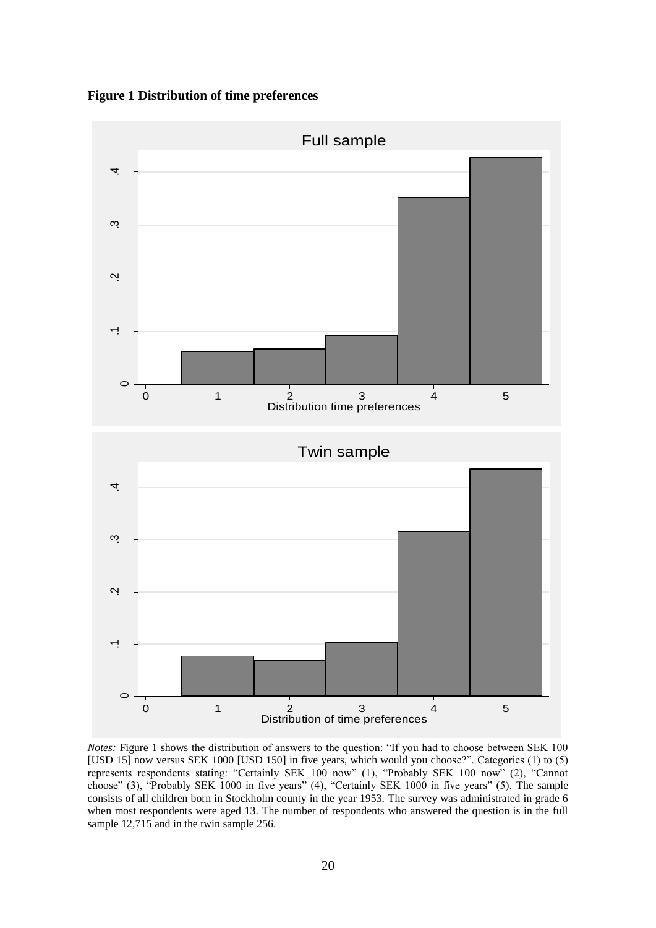**Figure 1 Distribution of time preferences**



*Notes:* Figure 1 shows the distribution of answers to the question: "If you had to choose between SEK 100 [USD 15] now versus SEK 1000 [USD 150] in five years, which would you choose?". Categories (1) to (5) represents respondents stating: "Certainly SEK 100 now" (1), "Probably SEK 100 now" (2), "Cannot choose" (3), "Probably SEK 1000 in five years" (4), "Certainly SEK 1000 in five years" (5). The sample consists of all children born in Stockholm county in the year 1953. The survey was administrated in grade 6 when most respondents were aged 13. The number of respondents who answered the question is in the full sample 12,715 and in the twin sample 256.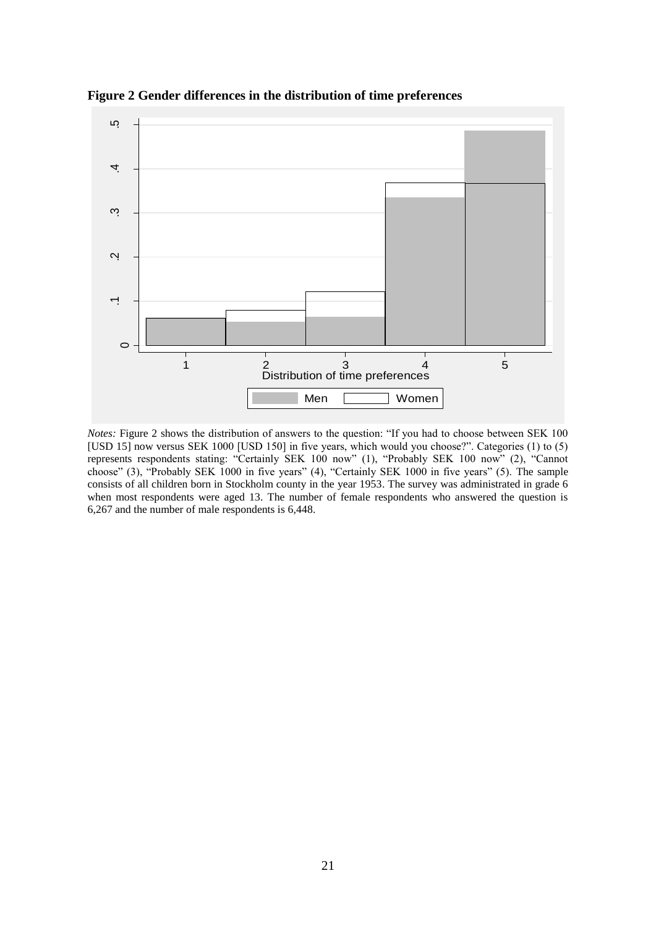

**Figure 2 Gender differences in the distribution of time preferences**

*Notes:* Figure 2 shows the distribution of answers to the question: "If you had to choose between SEK 100 [USD 15] now versus SEK 1000 [USD 150] in five years, which would you choose?". Categories (1) to (5) represents respondents stating: "Certainly SEK 100 now" (1), "Probably SEK 100 now" (2), "Cannot choose" (3), "Probably SEK 1000 in five years" (4), "Certainly SEK 1000 in five years" (5). The sample consists of all children born in Stockholm county in the year 1953. The survey was administrated in grade 6 when most respondents were aged 13. The number of female respondents who answered the question is 6,267 and the number of male respondents is 6,448.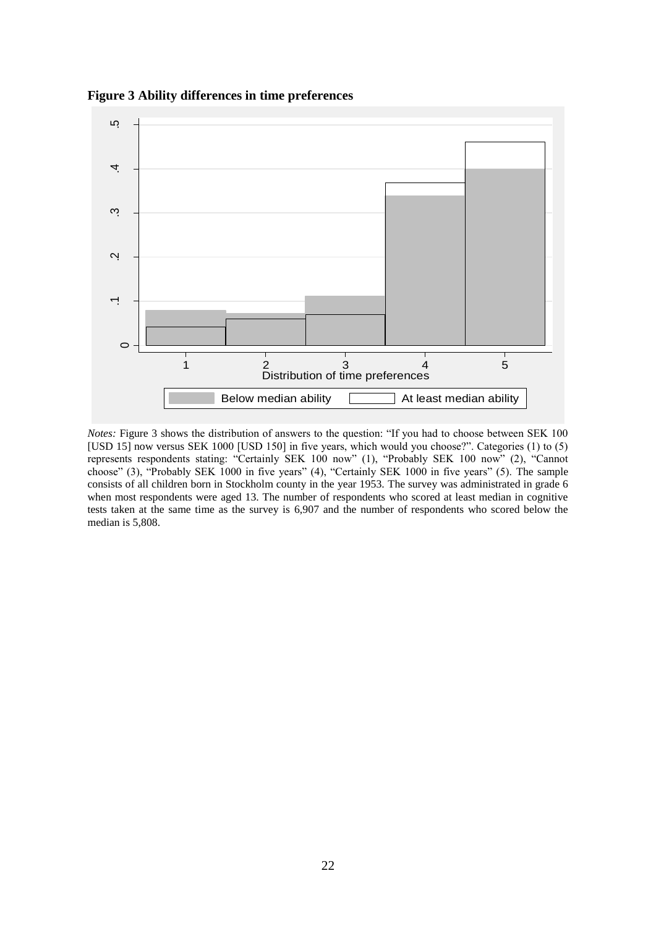**Figure 3 Ability differences in time preferences**



*Notes:* Figure 3 shows the distribution of answers to the question: "If you had to choose between SEK 100 [USD 15] now versus SEK 1000 [USD 150] in five years, which would you choose?". Categories (1) to (5) represents respondents stating: "Certainly SEK 100 now" (1), "Probably SEK 100 now" (2), "Cannot choose" (3), "Probably SEK 1000 in five years" (4), "Certainly SEK 1000 in five years" (5). The sample consists of all children born in Stockholm county in the year 1953. The survey was administrated in grade 6 when most respondents were aged 13. The number of respondents who scored at least median in cognitive tests taken at the same time as the survey is 6,907 and the number of respondents who scored below the median is 5,808.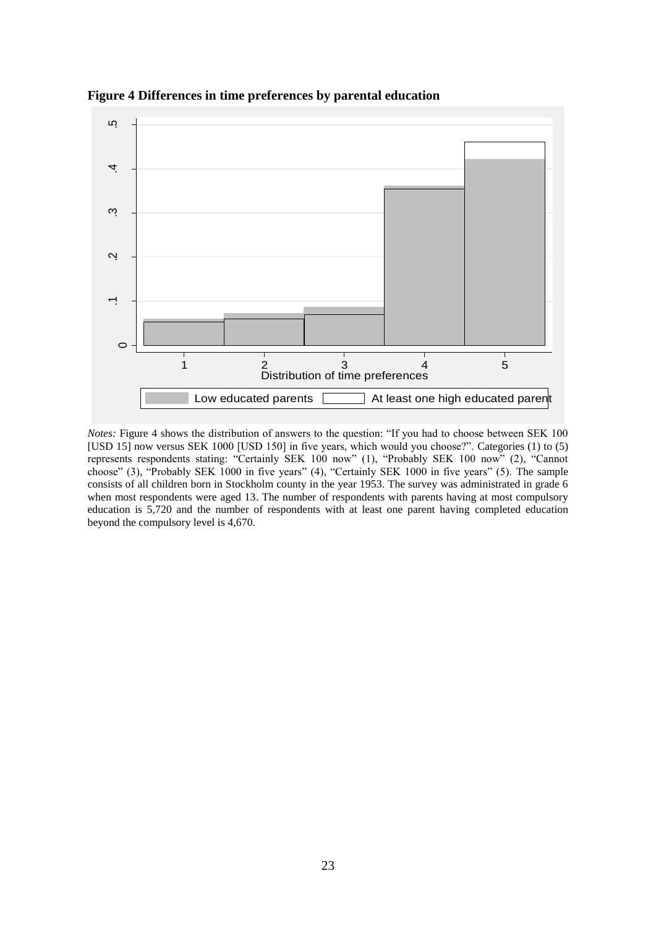

**Figure 4 Differences in time preferences by parental education** 

*Notes:* Figure 4 shows the distribution of answers to the question: "If you had to choose between SEK 100 [USD 15] now versus SEK 1000 [USD 150] in five years, which would you choose?". Categories (1) to (5) represents respondents stating: "Certainly SEK 100 now" (1), "Probably SEK 100 now" (2), "Cannot choose" (3), "Probably SEK 1000 in five years" (4), "Certainly SEK 1000 in five years" (5). The sample consists of all children born in Stockholm county in the year 1953. The survey was administrated in grade 6 when most respondents were aged 13. The number of respondents with parents having at most compulsory education is 5,720 and the number of respondents with at least one parent having completed education beyond the compulsory level is 4,670.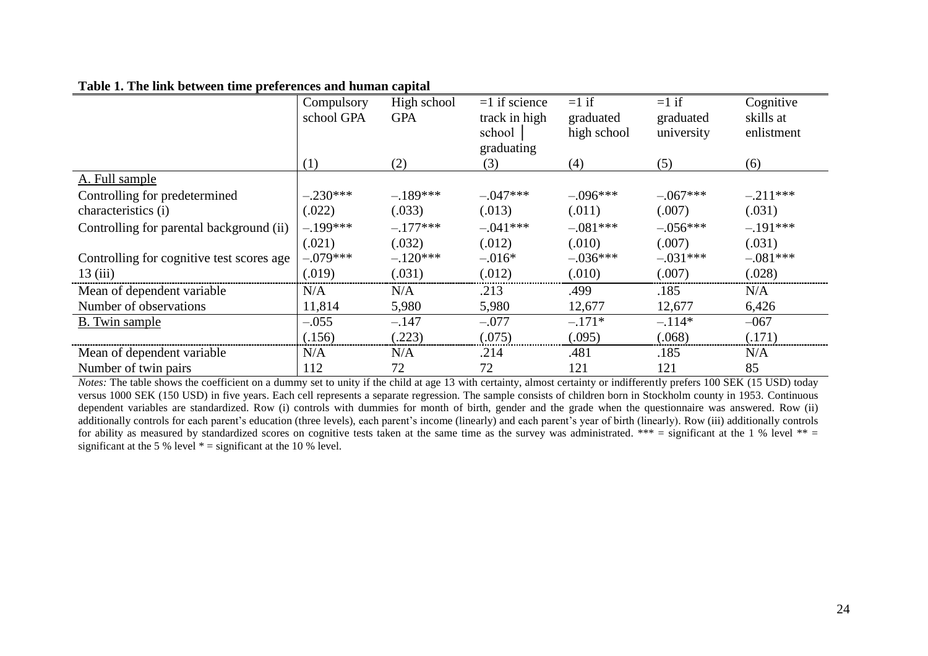### **Table 1. The link between time preferences and human capital**

|                                           | Compulsory | High school | $=1$ if science | $=1$ if     | $=1$ if    | Cognitive  |
|-------------------------------------------|------------|-------------|-----------------|-------------|------------|------------|
|                                           | school GPA | <b>GPA</b>  | track in high   | graduated   | graduated  | skills at  |
|                                           |            |             | school          | high school | university | enlistment |
|                                           |            |             | graduating      |             |            |            |
|                                           | (1)        | (2)         | (3)             | (4)         | (5)        | (6)        |
| A. Full sample                            |            |             |                 |             |            |            |
| Controlling for predetermined             | $-.230***$ | $-.189***$  | $-.047***$      | $-.096***$  | $-.067***$ | $-.211***$ |
| characteristics (i)                       | (.022)     | (.033)      | (.013)          | (.011)      | (.007)     | (.031)     |
| Controlling for parental background (ii)  | $-.199***$ | $-.177***$  | $-.041***$      | $-.081***$  | $-.056***$ | $-.191***$ |
|                                           | (.021)     | (.032)      | (.012)          | (.010)      | (.007)     | (.031)     |
| Controlling for cognitive test scores age | $-.079***$ | $-.120***$  | $-.016*$        | $-.036***$  | $-.031***$ | $-.081***$ |
| 13(iii)                                   | (.019)     | (.031)      | (.012)          | (.010)      | (.007)     | (.028)     |
| Mean of dependent variable                | N/A        | N/A         | .213            | .499        | .185       | N/A        |
| Number of observations                    | 11,814     | 5,980       | 5,980           | 12,677      | 12,677     | 6,426      |
| B. Twin sample                            | $-.055$    | $-.147$     | $-.077$         | $-.171*$    | $-.114*$   | $-067$     |
|                                           | (.156)     | (.223)      | (.075)          | (.095)      | (.068)     | (.171)     |
| Mean of dependent variable                | N/A        | N/A         | .214            | .481        | .185       | N/A        |
| Number of twin pairs                      | 112        | 72          | 72              | 121         | 121        | 85         |

*Notes:* The table shows the coefficient on a dummy set to unity if the child at age 13 with certainty, almost certainty or indifferently prefers 100 SEK (15 USD) today versus 1000 SEK (150 USD) in five years. Each cell represents a separate regression. The sample consists of children born in Stockholm county in 1953. Continuous dependent variables are standardized. Row (i) controls with dummies for month of birth, gender and the grade when the questionnaire was answered. Row (ii) additionally controls for each parent's education (three levels), each parent's income (linearly) and each parent's year of birth (linearly). Row (iii) additionally controls for ability as measured by standardized scores on cognitive tests taken at the same time as the survey was administrated. \*\*\* = significant at the 1 % level \*\* = significant at the 5 % level  $* =$  significant at the 10 % level.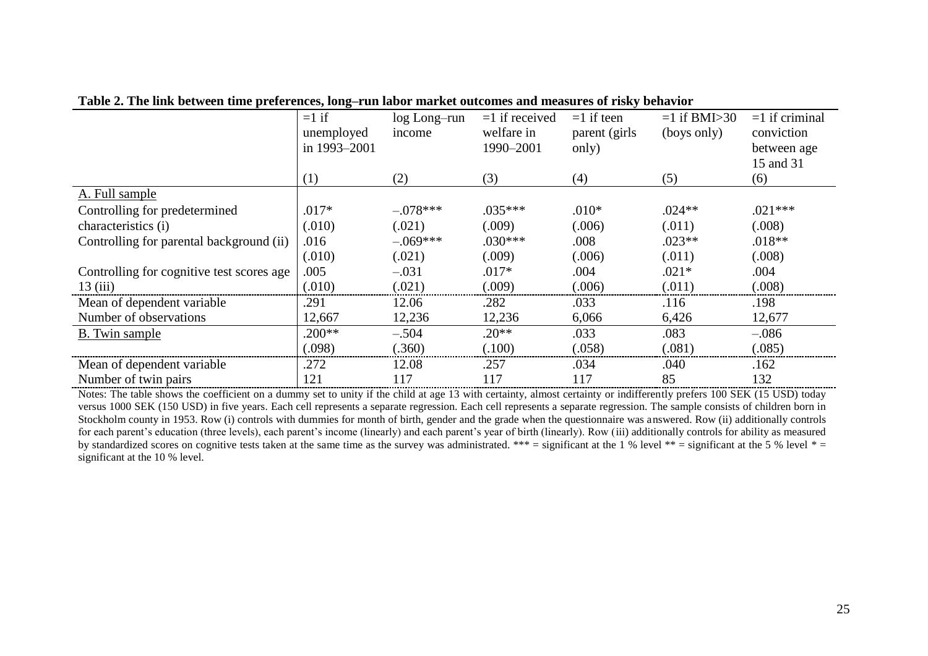|                                           | $=1$ if<br>unemployed<br>in 1993-2001 | log Long-run<br>income | $=1$ if received<br>welfare in<br>1990-2001 | $=1$ if teen<br>parent (girls)<br>only) | $=1$ if BMI $>30$<br>(boys only) | $=1$ if criminal<br>conviction<br>between age |
|-------------------------------------------|---------------------------------------|------------------------|---------------------------------------------|-----------------------------------------|----------------------------------|-----------------------------------------------|
|                                           | (1)                                   | (2)                    | (3)                                         | (4)                                     | (5)                              | 15 and 31<br>(6)                              |
| A. Full sample                            |                                       |                        |                                             |                                         |                                  |                                               |
| Controlling for predetermined             | $.017*$                               | $-.078***$             | $.035***$                                   | $.010*$                                 | $.024**$                         | $.021***$                                     |
| characteristics (i)                       | (.010)                                | (.021)                 | (.009)                                      | (.006)                                  | (.011)                           | (.008)                                        |
| Controlling for parental background (ii)  | .016                                  | $-.069***$             | $.030***$                                   | .008                                    | $.023**$                         | $.018**$                                      |
|                                           | (.010)                                | (.021)                 | (.009)                                      | (.006)                                  | (.011)                           | (.008)                                        |
| Controlling for cognitive test scores age | .005                                  | $-.031$                | $.017*$                                     | .004                                    | $.021*$                          | .004                                          |
| 13(iii)                                   | (.010)                                | (.021)                 | (.009)                                      | (.006)                                  | (.011)                           | (.008)                                        |
| Mean of dependent variable                | .291                                  | 12.06                  | .282                                        | .033                                    | .116                             | .198                                          |
| Number of observations                    | 12,667                                | 12,236                 | 12,236                                      | 6,066                                   | 6,426                            | 12,677                                        |
| B. Twin sample                            | $.200**$                              | $-.504$                | $.20**$                                     | .033                                    | .083                             | $-.086$                                       |
|                                           | (.098)                                | (.360)                 | (.100)                                      | (.058)                                  | (.081)                           | (.085)                                        |
| Mean of dependent variable                | .272                                  | 12.08                  | .257                                        | .034                                    | .040                             | .162                                          |
| Number of twin pairs                      | 121                                   | 117                    | 117                                         | 117                                     | 85                               | 132                                           |

**Table 2. The link between time preferences, long–run labor market outcomes and measures of risky behavior** 

Notes: The table shows the coefficient on a dummy set to unity if the child at age 13 with certainty, almost certainty or indifferently prefers 100 SEK (15 USD) today versus 1000 SEK (150 USD) in five years. Each cell represents a separate regression. Each cell represents a separate regression. The sample consists of children born in Stockholm county in 1953. Row (i) controls with dummies for month of birth, gender and the grade when the questionnaire was answered. Row (ii) additionally controls for each parent's education (three levels), each parent's income (linearly) and each parent's year of birth (linearly). Row (iii) additionally controls for ability as measured by standardized scores on cognitive tests taken at the same time as the survey was administrated. \*\*\* = significant at the 1 % level \*\* = significant at the 5 % level \* = significant at the 10 % level.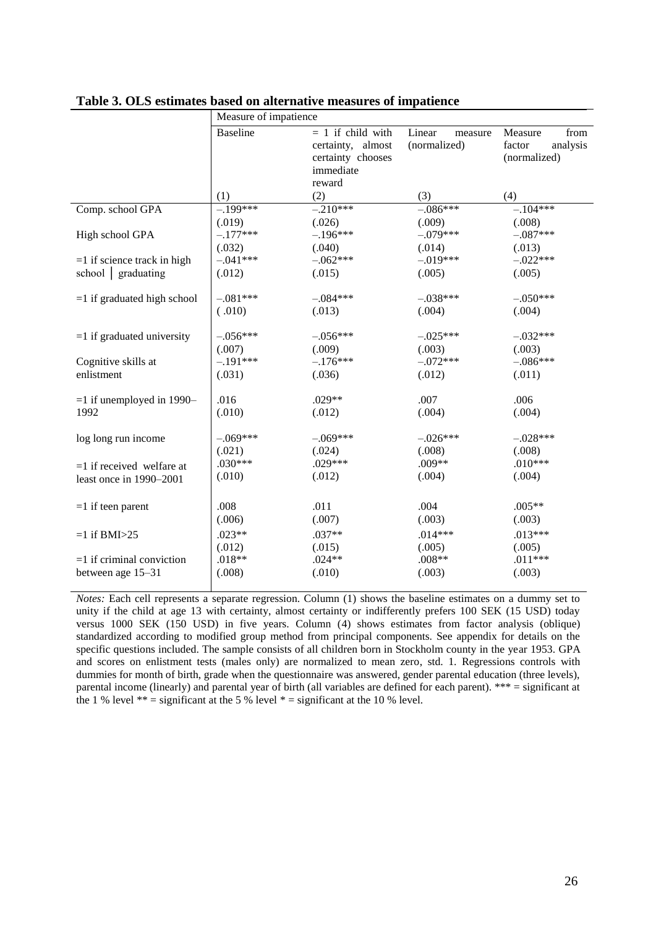|                               | Measure of impatience |                                                                                      |                                   |                                                       |
|-------------------------------|-----------------------|--------------------------------------------------------------------------------------|-----------------------------------|-------------------------------------------------------|
|                               | <b>Baseline</b>       | $= 1$ if child with<br>certainty, almost<br>certainty chooses<br>immediate<br>reward | Linear<br>measure<br>(normalized) | Measure<br>from<br>analysis<br>factor<br>(normalized) |
|                               | (1)                   | (2)                                                                                  | (3)                               | (4)                                                   |
| Comp. school GPA              | $-.199***$            | $-.210***$                                                                           | $-.086***$                        | $-.104***$                                            |
|                               | (.019)                | (.026)                                                                               | (.009)                            | (.008)                                                |
| High school GPA               | $-.177***$            | $-.196***$                                                                           | $-.079***$                        | $-.087***$                                            |
|                               | (.032)                | (.040)                                                                               | (.014)                            | (.013)                                                |
| $=1$ if science track in high | $-.041***$            | $-.062***$                                                                           | $-.019***$                        | $-.022***$                                            |
| school graduating             | (.012)                | (.015)                                                                               | (.005)                            | (.005)                                                |
| $=1$ if graduated high school | $-.081***$            | $-.084***$                                                                           | $-.038***$                        | $-.050***$                                            |
|                               | (.010)                | (.013)                                                                               | (.004)                            | (.004)                                                |
| $=1$ if graduated university  | $-.056***$            | $-.056***$                                                                           | $-.025***$                        | $-.032***$                                            |
|                               | (.007)                | (.009)                                                                               | (.003)                            | (.003)                                                |
| Cognitive skills at           | $-.191***$            | $-.176***$                                                                           | $-.072***$                        | $-.086***$                                            |
| enlistment                    | (.031)                | (.036)                                                                               | (.012)                            | (.011)                                                |
|                               |                       |                                                                                      |                                   |                                                       |
| $=1$ if unemployed in 1990-   | .016                  | .029**                                                                               | .007                              | .006                                                  |
| 1992                          | (.010)                | (.012)                                                                               | (.004)                            | (.004)                                                |
| log long run income           | $-.069***$            | $-.069***$                                                                           | $-.026***$                        | $-.028***$                                            |
|                               | (.021)                | (.024)                                                                               | (.008)                            | (.008)                                                |
| $=1$ if received welfare at   | $.030***$             | .029***                                                                              | $.009**$                          | $.010***$                                             |
| least once in 1990-2001       | (.010)                | (.012)                                                                               | (.004)                            | (.004)                                                |
|                               |                       |                                                                                      |                                   |                                                       |
| $=1$ if teen parent           | .008                  | .011                                                                                 | .004                              | $.005**$                                              |
|                               | (.006)                | (.007)                                                                               | (.003)                            | (.003)                                                |
| $=1$ if BMI $>25$             | $.023**$              | $.037**$                                                                             | $.014***$                         | $.013***$                                             |
|                               | (.012)                | (.015)                                                                               | (.005)                            | (.005)                                                |
| $=1$ if criminal conviction   | $.018**$              | $.024**$                                                                             | $.008**$                          | $.011***$                                             |
| between age 15-31             | (.008)                | (.010)                                                                               | (.003)                            | (.003)                                                |
|                               |                       |                                                                                      |                                   |                                                       |

**Table 3. OLS estimates based on alternative measures of impatience** 

*Notes:* Each cell represents a separate regression. Column (1) shows the baseline estimates on a dummy set to unity if the child at age 13 with certainty, almost certainty or indifferently prefers 100 SEK (15 USD) today versus 1000 SEK (150 USD) in five years. Column (4) shows estimates from factor analysis (oblique) standardized according to modified group method from principal components. See appendix for details on the specific questions included. The sample consists of all children born in Stockholm county in the year 1953. GPA and scores on enlistment tests (males only) are normalized to mean zero, std. 1. Regressions controls with dummies for month of birth, grade when the questionnaire was answered, gender parental education (three levels), parental income (linearly) and parental year of birth (all variables are defined for each parent). \*\*\* = significant at the 1 % level  $** =$  significant at the 5 % level  $* =$  significant at the 10 % level.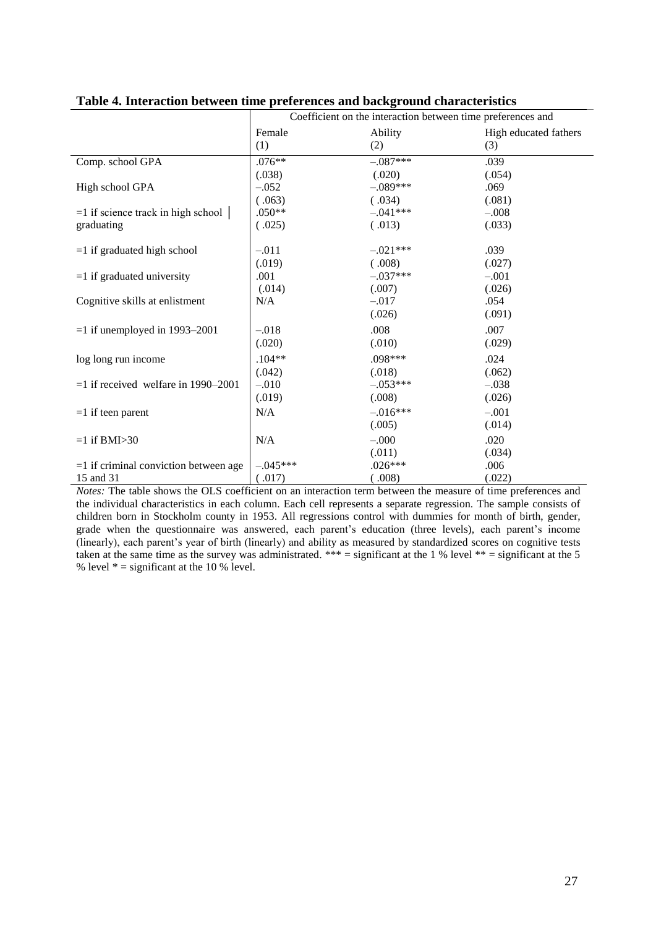|                                         | Coefficient on the interaction between time preferences and |            |                       |  |  |  |
|-----------------------------------------|-------------------------------------------------------------|------------|-----------------------|--|--|--|
|                                         | Female                                                      | Ability    | High educated fathers |  |  |  |
|                                         | (1)                                                         | (2)        | (3)                   |  |  |  |
| Comp. school GPA                        | $.076**$                                                    | $-.087***$ | .039                  |  |  |  |
|                                         | (.038)                                                      | (.020)     | (.054)                |  |  |  |
| High school GPA                         | $-.052$                                                     | $-.089***$ | .069                  |  |  |  |
|                                         | (.063)                                                      | (.034)     | (.081)                |  |  |  |
| $=1$ if science track in high school    | $.050**$                                                    | $-.041***$ | $-.008$               |  |  |  |
| graduating                              | (.025)                                                      | (.013)     | (.033)                |  |  |  |
| $=1$ if graduated high school           | $-.011$                                                     | $-.021***$ | .039                  |  |  |  |
|                                         | (.019)                                                      | (.008)     | (.027)                |  |  |  |
| $=1$ if graduated university            | .001                                                        | $-.037***$ | $-.001$               |  |  |  |
|                                         | (.014)                                                      | (.007)     | (.026)                |  |  |  |
| Cognitive skills at enlistment          | N/A                                                         | $-.017$    | .054                  |  |  |  |
|                                         |                                                             | (.026)     | (.091)                |  |  |  |
| $=1$ if unemployed in 1993–2001         | $-.018$                                                     | .008       | .007                  |  |  |  |
|                                         | (.020)                                                      | (.010)     | (.029)                |  |  |  |
| log long run income                     | $.104**$                                                    | .098***    | .024                  |  |  |  |
|                                         | (.042)                                                      | (.018)     | (.062)                |  |  |  |
| $=1$ if received welfare in 1990–2001   | $-.010$                                                     | $-.053***$ | $-.038$               |  |  |  |
|                                         | (.019)                                                      | (.008)     | (.026)                |  |  |  |
| $=1$ if teen parent                     | N/A                                                         | $-.016***$ | $-.001$               |  |  |  |
|                                         |                                                             | (.005)     | (.014)                |  |  |  |
| $=1$ if BMI $>30$                       | N/A                                                         | $-.000$    | .020                  |  |  |  |
|                                         |                                                             | (.011)     | (.034)                |  |  |  |
| $=1$ if criminal conviction between age | $-.045***$                                                  | $.026***$  | .006                  |  |  |  |
| 15 and 31                               | (.017)                                                      | (.008)     | (.022)                |  |  |  |

|  |  |  | Table 4. Interaction between time preferences and background characteristics |
|--|--|--|------------------------------------------------------------------------------|
|  |  |  |                                                                              |

*Notes:* The table shows the OLS coefficient on an interaction term between the measure of time preferences and the individual characteristics in each column. Each cell represents a separate regression. The sample consists of children born in Stockholm county in 1953. All regressions control with dummies for month of birth, gender, grade when the questionnaire was answered, each parent's education (three levels), each parent's income (linearly), each parent"s year of birth (linearly) and ability as measured by standardized scores on cognitive tests taken at the same time as the survey was administrated. \*\*\* = significant at the 1 % level \*\* = significant at the 5 % level  $* =$  significant at the 10 % level.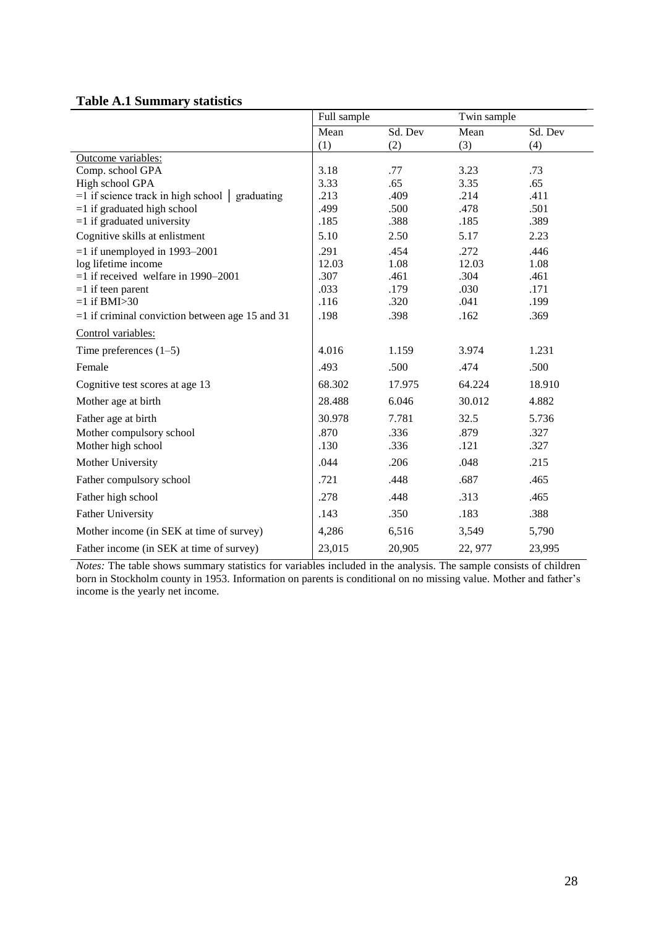## **Table A.1 Summary statistics**

|                                                          | Full sample  |              | Twin sample  |              |
|----------------------------------------------------------|--------------|--------------|--------------|--------------|
|                                                          | Mean         | Sd. Dev      | Mean         | Sd. Dev      |
|                                                          | (1)          | (2)          | (3)          | (4)          |
| Outcome variables:                                       |              |              |              |              |
| Comp. school GPA                                         | 3.18         | .77          | 3.23         | .73          |
| High school GPA                                          | 3.33         | .65          | 3.35         | .65          |
| $=$ 1 if science track in high school $\vert$ graduating | .213         | .409         | .214         | .411         |
| $=1$ if graduated high school                            | .499<br>.185 | .500<br>.388 | .478<br>.185 | .501<br>.389 |
| $=1$ if graduated university                             |              |              |              |              |
| Cognitive skills at enlistment                           | 5.10         | 2.50         | 5.17         | 2.23         |
| $=1$ if unemployed in 1993–2001                          | .291         | .454         | .272         | .446         |
| log lifetime income                                      | 12.03        | 1.08         | 12.03        | 1.08         |
| $=1$ if received welfare in 1990–2001                    | .307         | .461         | .304         | .461         |
| $=1$ if teen parent<br>$=1$ if BMI $>30$                 | .033<br>.116 | .179<br>.320 | .030<br>.041 | .171<br>.199 |
| $=1$ if criminal conviction between age 15 and 31        | .198         | .398         | .162         | .369         |
|                                                          |              |              |              |              |
| Control variables:                                       |              |              |              |              |
| Time preferences $(1-5)$                                 | 4.016        | 1.159        | 3.974        | 1.231        |
| Female                                                   | .493         | .500         | .474         | .500         |
| Cognitive test scores at age 13                          | 68.302       | 17.975       | 64.224       | 18.910       |
| Mother age at birth                                      | 28.488       | 6.046        | 30.012       | 4.882        |
| Father age at birth                                      | 30.978       | 7.781        | 32.5         | 5.736        |
| Mother compulsory school                                 | .870         | .336         | .879         | .327         |
| Mother high school                                       | .130         | .336         | .121         | .327         |
| Mother University                                        | .044         | .206         | .048         | .215         |
| Father compulsory school                                 | .721         | .448         | .687         | .465         |
| Father high school                                       | .278         | .448         | .313         | .465         |
| <b>Father University</b>                                 | .143         | .350         | .183         | .388         |
| Mother income (in SEK at time of survey)                 | 4,286        | 6,516        | 3,549        | 5,790        |
| Father income (in SEK at time of survey)                 | 23,015       | 20,905       | 22, 977      | 23,995       |

*Notes:* The table shows summary statistics for variables included in the analysis. The sample consists of children born in Stockholm county in 1953. Information on parents is conditional on no missing value. Mother and father"s income is the yearly net income.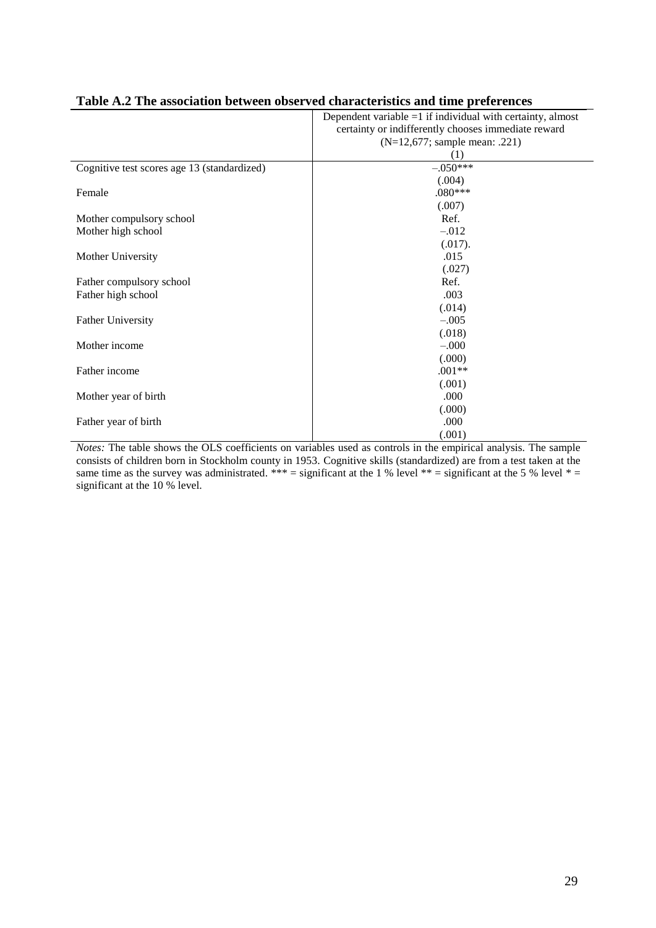|                                             | Dependent variable $=1$ if individual with certainty, almost |
|---------------------------------------------|--------------------------------------------------------------|
|                                             | certainty or indifferently chooses immediate reward          |
|                                             | (N=12,677; sample mean: .221)                                |
|                                             | (1)                                                          |
| Cognitive test scores age 13 (standardized) | $-.050***$                                                   |
|                                             | (.004)                                                       |
| Female                                      | $.080***$                                                    |
|                                             | (.007)                                                       |
| Mother compulsory school                    | Ref.                                                         |
| Mother high school                          | $-.012$                                                      |
|                                             | (.017).                                                      |
| Mother University                           | .015                                                         |
|                                             | (.027)                                                       |
| Father compulsory school                    | Ref.                                                         |
| Father high school                          | .003                                                         |
|                                             | (.014)                                                       |
| <b>Father University</b>                    | $-.005$                                                      |
|                                             | (.018)                                                       |
| Mother income                               | $-.000$                                                      |
|                                             | (.000)                                                       |
| Father income                               | $.001**$                                                     |
|                                             | (.001)                                                       |
| Mother year of birth                        | .000                                                         |
|                                             | (.000)                                                       |
| Father year of birth                        | .000                                                         |
|                                             | (.001)                                                       |

### **Table A.2 The association between observed characteristics and time preferences**

*Notes:* The table shows the OLS coefficients on variables used as controls in the empirical analysis. The sample consists of children born in Stockholm county in 1953. Cognitive skills (standardized) are from a test taken at the same time as the survey was administrated. \*\*\* = significant at the 1 % level \*\* = significant at the 5 % level \* = significant at the 10 % level.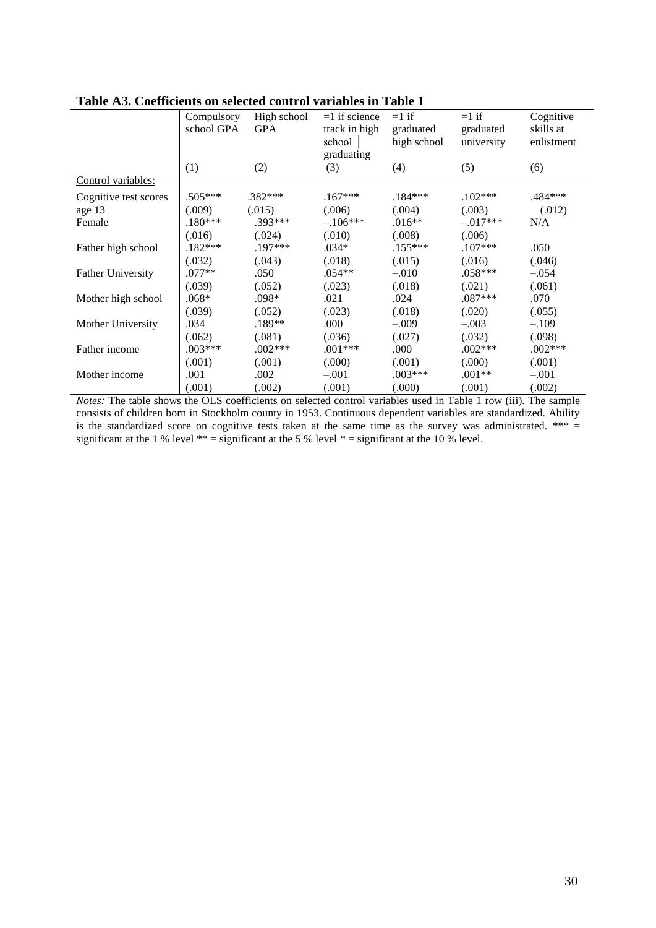|                          | Compulsory | High school | $=1$ if science | $=1$ if     | $=1$ if    | Cognitive  |
|--------------------------|------------|-------------|-----------------|-------------|------------|------------|
|                          | school GPA | <b>GPA</b>  | track in high   | graduated   | graduated  | skills at  |
|                          |            |             | school          | high school | university | enlistment |
|                          |            |             | graduating      |             |            |            |
|                          | (1)        | (2)         | (3)             | (4)         | (5)        | (6)        |
| Control variables:       |            |             |                 |             |            |            |
| Cognitive test scores    | $.505***$  | $.382***$   | $.167***$       | $.184***$   | $.102***$  | .484***    |
| age 13                   | (.009)     | (.015)      | (.006)          | (.004)      | (.003)     | (.012)     |
| Female                   | $.180***$  | $.393***$   | $-.106***$      | $.016**$    | $-.017***$ | N/A        |
|                          | (.016)     | (.024)      | (.010)          | (.008)      | (.006)     |            |
| Father high school       | $.182***$  | $.197***$   | $.034*$         | $.155***$   | $.107***$  | .050       |
|                          | (.032)     | (.043)      | (.018)          | (.015)      | (.016)     | (.046)     |
| <b>Father University</b> | $.077**$   | .050        | $.054**$        | $-.010$     | .058***    | $-.054$    |
|                          | (.039)     | (.052)      | (.023)          | (.018)      | (.021)     | (.061)     |
| Mother high school       | $.068*$    | .098*       | .021            | .024        | $.087***$  | .070       |
|                          | (.039)     | (.052)      | (.023)          | (.018)      | (.020)     | (.055)     |
| Mother University        | .034       | $.189**$    | .000            | $-.009$     | $-.003$    | $-.109$    |
|                          | (.062)     | (.081)      | (.036)          | (.027)      | (.032)     | (.098)     |
| Father income            | $.003***$  | $.002***$   | .001***         | .000        | $.002***$  | $.002***$  |
|                          | (.001)     | (.001)      | (.000)          | (.001)      | (000)      | (.001)     |
| Mother income            | .001       | .002        | $-.001$         | $.003***$   | $.001**$   | $-.001$    |
|                          | (.001)     | (.002)      | (.001)          | (000)       | (.001)     | (.002)     |

**Table A3. Coefficients on selected control variables in Table 1** 

*Notes:* The table shows the OLS coefficients on selected control variables used in Table 1 row (iii). The sample consists of children born in Stockholm county in 1953. Continuous dependent variables are standardized. Ability is the standardized score on cognitive tests taken at the same time as the survey was administrated. \*\*\*  $=$ significant at the 1 % level  $** =$  significant at the 5 % level  $* =$  significant at the 10 % level.